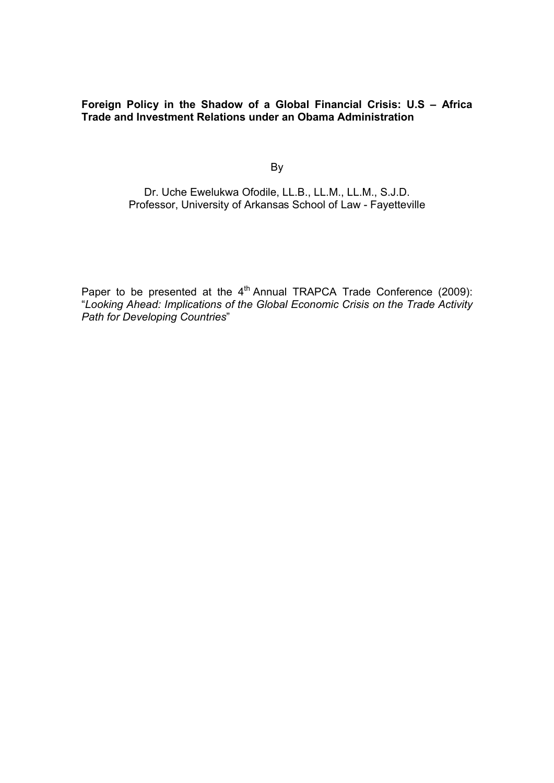**Foreign Policy in the Shadow of a Global Financial Crisis: U.S – Africa Trade and Investment Relations under an Obama Administration**

By

Dr. Uche Ewelukwa Ofodile, LL.B., LL.M., LL.M., S.J.D. Professor, University of Arkansas School of Law - Fayetteville

Paper to be presented at the  $4<sup>th</sup>$  Annual TRAPCA Trade Conference (2009): "*Looking Ahead: Implications of the Global Economic Crisis on the Trade Activity Path for Developing Countries*"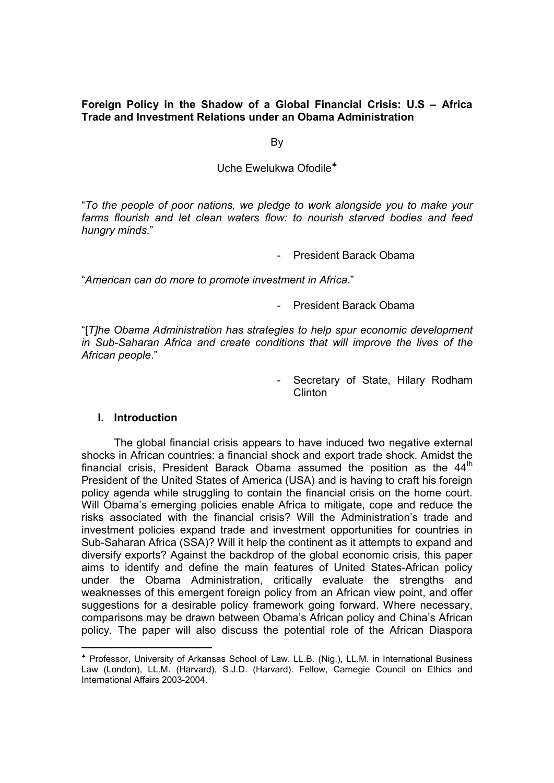**Foreign Policy in the Shadow of a Global Financial Crisis: U.S – Africa Trade and Investment Relations under an Obama Administration**

By

Uche Ewelukwa Ofodile

"*To the people of poor nations, we pledge to work alongside you to make your farms flourish and let clean waters flow: to nourish starved bodies and feed hungry minds*."

- President Barack Obama

"*American can do more to promote investment in Africa*."

- President Barack Obama

"[*T]he Obama Administration has strategies to help spur economic development in Sub-Saharan Africa and create conditions that will improve the lives of the African people*."

> Secretary of State, Hilary Rodham Clinton

#### **I. Introduction**

-

The global financial crisis appears to have induced two negative external shocks in African countries: a financial shock and export trade shock. Amidst the financial crisis, President Barack Obama assumed the position as the 44<sup>th</sup> President of the United States of America (USA) and is having to craft his foreign policy agenda while struggling to contain the financial crisis on the home court. Will Obama's emerging policies enable Africa to mitigate, cope and reduce the risks associated with the financial crisis? Will the Administration's trade and investment policies expand trade and investment opportunities for countries in Sub-Saharan Africa (SSA)? Will it help the continent as it attempts to expand and diversify exports? Against the backdrop of the global economic crisis, this paper aims to identify and define the main features of United States-African policy under the Obama Administration, critically evaluate the strengths and weaknesses of this emergent foreign policy from an African view point, and offer suggestions for a desirable policy framework going forward. Where necessary, comparisons may be drawn between Obama's African policy and China's African policy. The paper will also discuss the potential role of the African Diaspora

Professor, University of Arkansas School of Law. LL.B. (Nig.), LL.M. in International Business Law (London), LL.M. (Harvard), S.J.D. (Harvard). Fellow, Carnegie Council on Ethics and International Affairs 2003-2004.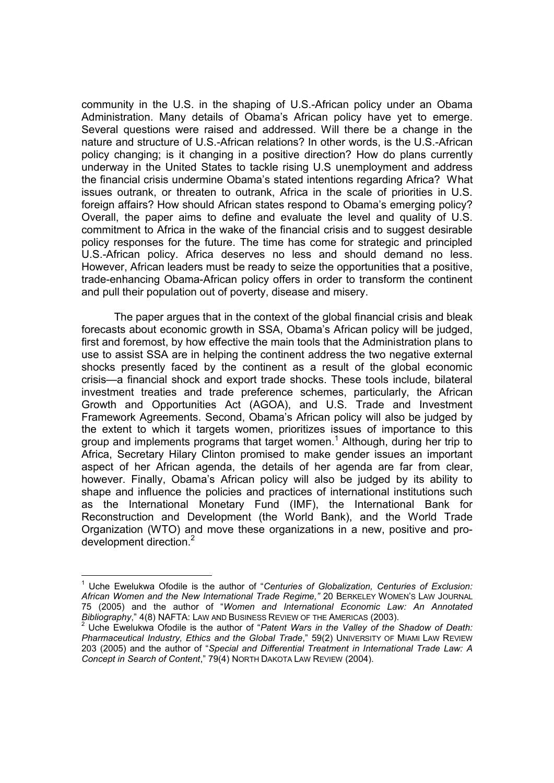community in the U.S. in the shaping of U.S.-African policy under an Obama Administration. Many details of Obama's African policy have yet to emerge. Several questions were raised and addressed. Will there be a change in the nature and structure of U.S.-African relations? In other words, is the U.S.-African policy changing; is it changing in a positive direction? How do plans currently underway in the United States to tackle rising U.S unemployment and address the financial crisis undermine Obama's stated intentions regarding Africa? What issues outrank, or threaten to outrank, Africa in the scale of priorities in U.S. foreign affairs? How should African states respond to Obama's emerging policy? Overall, the paper aims to define and evaluate the level and quality of U.S. commitment to Africa in the wake of the financial crisis and to suggest desirable policy responses for the future. The time has come for strategic and principled U.S.-African policy. Africa deserves no less and should demand no less. However, African leaders must be ready to seize the opportunities that a positive, trade-enhancing Obama-African policy offers in order to transform the continent and pull their population out of poverty, disease and misery.

The paper argues that in the context of the global financial crisis and bleak forecasts about economic growth in SSA, Obama's African policy will be judged, first and foremost, by how effective the main tools that the Administration plans to use to assist SSA are in helping the continent address the two negative external shocks presently faced by the continent as a result of the global economic crisis—a financial shock and export trade shocks. These tools include, bilateral investment treaties and trade preference schemes, particularly, the African Growth and Opportunities Act (AGOA), and U.S. Trade and Investment Framework Agreements. Second, Obama's African policy will also be judged by the extent to which it targets women, prioritizes issues of importance to this group and implements programs that target women.<sup>1</sup> Although, during her trip to Africa, Secretary Hilary Clinton promised to make gender issues an important aspect of her African agenda, the details of her agenda are far from clear, however. Finally, Obama's African policy will also be judged by its ability to shape and influence the policies and practices of international institutions such as the International Monetary Fund (IMF), the International Bank for Reconstruction and Development (the World Bank), and the World Trade Organization (WTO) and move these organizations in a new, positive and prodevelopment direction.<sup>2</sup>

<sup>1</sup> Uche Ewelukwa Ofodile is the author of "*Centuries of Globalization, Centuries of Exclusion: African Women and the New International Trade Regime,"* 20 BERKELEY WOMEN'S LAW JOURNAL 75 (2005) and the author of "*Women and International Economic Law: An Annotated* 

Uche Ewelukwa Ofodile is the author of "Patent Wars in the Valley of the Shadow of Death: *Pharmaceutical Industry, Ethics and the Global Trade*," 59(2) UNIVERSITY OF MIAMI LAW REVIEW 203 (2005) and the author of "*Special and Differential Treatment in International Trade Law: A Concept in Search of Content*," 79(4) NORTH DAKOTA LAW REVIEW (2004).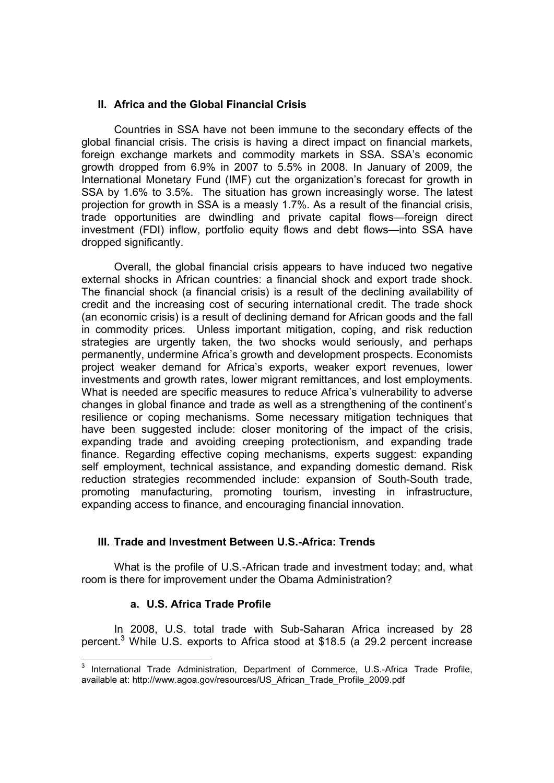## **II. Africa and the Global Financial Crisis**

Countries in SSA have not been immune to the secondary effects of the global financial crisis. The crisis is having a direct impact on financial markets, foreign exchange markets and commodity markets in SSA. SSA's economic growth dropped from 6.9% in 2007 to 5.5% in 2008. In January of 2009, the International Monetary Fund (IMF) cut the organization's forecast for growth in SSA by 1.6% to 3.5%. The situation has grown increasingly worse. The latest projection for growth in SSA is a measly 1.7%. As a result of the financial crisis, trade opportunities are dwindling and private capital flows—foreign direct investment (FDI) inflow, portfolio equity flows and debt flows—into SSA have dropped significantly.

Overall, the global financial crisis appears to have induced two negative external shocks in African countries: a financial shock and export trade shock. The financial shock (a financial crisis) is a result of the declining availability of credit and the increasing cost of securing international credit. The trade shock (an economic crisis) is a result of declining demand for African goods and the fall in commodity prices. Unless important mitigation, coping, and risk reduction strategies are urgently taken, the two shocks would seriously, and perhaps permanently, undermine Africa's growth and development prospects. Economists project weaker demand for Africa's exports, weaker export revenues, lower investments and growth rates, lower migrant remittances, and lost employments. What is needed are specific measures to reduce Africa's vulnerability to adverse changes in global finance and trade as well as a strengthening of the continent's resilience or coping mechanisms. Some necessary mitigation techniques that have been suggested include: closer monitoring of the impact of the crisis, expanding trade and avoiding creeping protectionism, and expanding trade finance. Regarding effective coping mechanisms, experts suggest: expanding self employment, technical assistance, and expanding domestic demand. Risk reduction strategies recommended include: expansion of South-South trade, promoting manufacturing, promoting tourism, investing in infrastructure, expanding access to finance, and encouraging financial innovation.

# **III. Trade and Investment Between U.S.-Africa: Trends**

What is the profile of U.S.-African trade and investment today; and, what room is there for improvement under the Obama Administration?

#### **a. U.S. Africa Trade Profile**

-

In 2008, U.S. total trade with Sub-Saharan Africa increased by 28 percent.<sup>3</sup> While U.S. exports to Africa stood at \$18.5 (a 29.2 percent increase

<sup>&</sup>lt;sup>3</sup> International Trade Administration, Department of Commerce, U.S.-Africa Trade Profile, available at: http://www.agoa.gov/resources/US\_African\_Trade\_Profile\_2009.pdf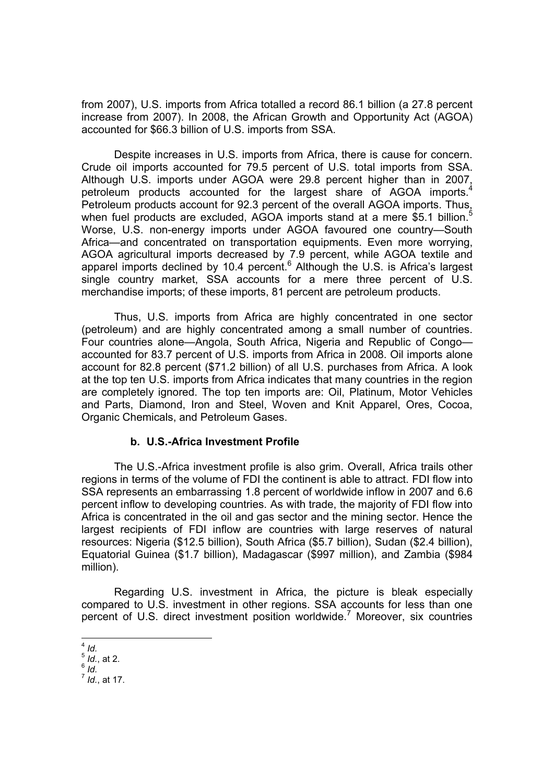from 2007), U.S. imports from Africa totalled a record 86.1 billion (a 27.8 percent increase from 2007). In 2008, the African Growth and Opportunity Act (AGOA) accounted for \$66.3 billion of U.S. imports from SSA.

Despite increases in U.S. imports from Africa, there is cause for concern. Crude oil imports accounted for 79.5 percent of U.S. total imports from SSA. Although U.S. imports under AGOA were 29.8 percent higher than in 2007, petroleum products accounted for the largest share of AGOA imports.<sup>4</sup> Petroleum products account for 92.3 percent of the overall AGOA imports. Thus, when fuel products are excluded, AGOA imports stand at a mere \$5.1 billion.<sup>5</sup> Worse, U.S. non-energy imports under AGOA favoured one country—South Africa—and concentrated on transportation equipments. Even more worrying, AGOA agricultural imports decreased by 7.9 percent, while AGOA textile and apparel imports declined by 10.4 percent.<sup>6</sup> Although the U.S. is Africa's largest single country market, SSA accounts for a mere three percent of U.S. merchandise imports; of these imports, 81 percent are petroleum products.

Thus, U.S. imports from Africa are highly concentrated in one sector (petroleum) and are highly concentrated among a small number of countries. Four countries alone—Angola, South Africa, Nigeria and Republic of Congo accounted for 83.7 percent of U.S. imports from Africa in 2008. Oil imports alone account for 82.8 percent (\$71.2 billion) of all U.S. purchases from Africa. A look at the top ten U.S. imports from Africa indicates that many countries in the region are completely ignored. The top ten imports are: Oil, Platinum, Motor Vehicles and Parts, Diamond, Iron and Steel, Woven and Knit Apparel, Ores, Cocoa, Organic Chemicals, and Petroleum Gases.

# **b. U.S.-Africa Investment Profile**

The U.S.-Africa investment profile is also grim. Overall, Africa trails other regions in terms of the volume of FDI the continent is able to attract. FDI flow into SSA represents an embarrassing 1.8 percent of worldwide inflow in 2007 and 6.6 percent inflow to developing countries. As with trade, the majority of FDI flow into Africa is concentrated in the oil and gas sector and the mining sector. Hence the largest recipients of FDI inflow are countries with large reserves of natural resources: Nigeria (\$12.5 billion), South Africa (\$5.7 billion), Sudan (\$2.4 billion), Equatorial Guinea (\$1.7 billion), Madagascar (\$997 million), and Zambia (\$984 million).

Regarding U.S. investment in Africa, the picture is bleak especially compared to U.S. investment in other regions. SSA accounts for less than one percent of U.S. direct investment position worldwide.<sup>7</sup> Moreover, six countries

<sup>1</sup> <sup>4</sup> *Id.*

<sup>5</sup> *Id.*, at 2.

 $6 \dot{I}$ 

<sup>7</sup> *Id.*, at 17.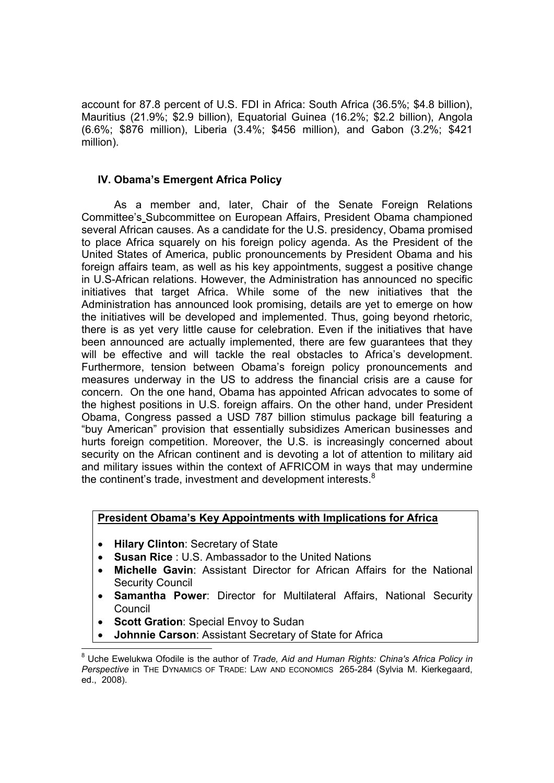account for 87.8 percent of U.S. FDI in Africa: South Africa (36.5%; \$4.8 billion), Mauritius (21.9%; \$2.9 billion), Equatorial Guinea (16.2%; \$2.2 billion), Angola (6.6%; \$876 million), Liberia (3.4%; \$456 million), and Gabon (3.2%; \$421 million).

## **IV. Obama's Emergent Africa Policy**

As a member and, later, Chair of the Senate Foreign Relations Committee's Subcommittee on European Affairs, President Obama championed several African causes. As a candidate for the U.S. presidency, Obama promised to place Africa squarely on his foreign policy agenda. As the President of the United States of America, public pronouncements by President Obama and his foreign affairs team, as well as his key appointments, suggest a positive change in U.S-African relations. However, the Administration has announced no specific initiatives that target Africa. While some of the new initiatives that the Administration has announced look promising, details are yet to emerge on how the initiatives will be developed and implemented. Thus, going beyond rhetoric, there is as yet very little cause for celebration. Even if the initiatives that have been announced are actually implemented, there are few guarantees that they will be effective and will tackle the real obstacles to Africa's development. Furthermore, tension between Obama's foreign policy pronouncements and measures underway in the US to address the financial crisis are a cause for concern. On the one hand, Obama has appointed African advocates to some of the highest positions in U.S. foreign affairs. On the other hand, under President Obama, Congress passed a USD 787 billion stimulus package bill featuring a "buy American" provision that essentially subsidizes American businesses and hurts foreign competition. Moreover, the U.S. is increasingly concerned about security on the African continent and is devoting a lot of attention to military aid and military issues within the context of AFRICOM in ways that may undermine the continent's trade, investment and development interests. $8$ 

## **President Obama's Key Appointments with Implications for Africa**

- **Hilary Clinton**: Secretary of State
- **Susan Rice** : U.S. Ambassador to the United Nations
- **Michelle Gavin**: Assistant Director for African Affairs for the National Security Council
- **Samantha Power**: Director for Multilateral Affairs, National Security Council
- **Scott Gration**: Special Envoy to Sudan

-

**Johnnie Carson**: Assistant Secretary of State for Africa

<sup>8</sup> Uche Ewelukwa Ofodile is the author of *Trade, Aid and Human Rights: China's Africa Policy in Perspective* in THE DYNAMICS OF TRADE: LAW AND ECONOMICS 265-284 (Sylvia M. Kierkegaard, ed., 2008).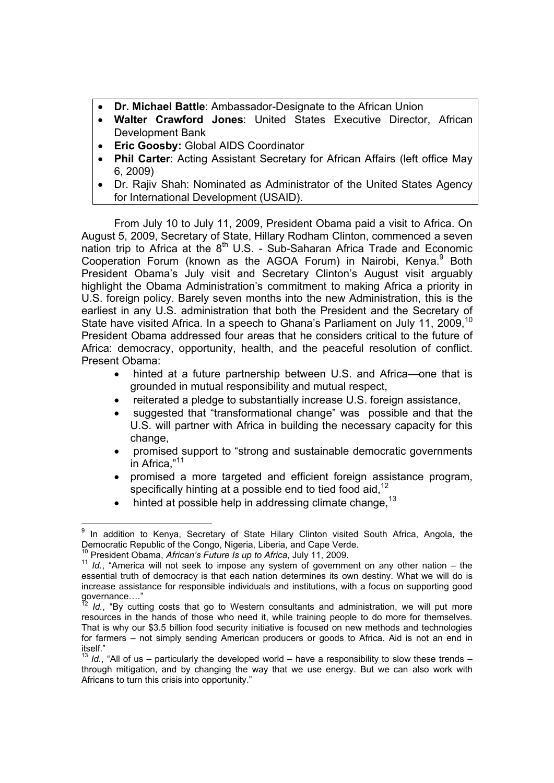- **Dr. Michael Battle**: Ambassador-Designate to the African Union
- **Walter Crawford Jones**: United States Executive Director, African Development Bank
- **Eric Goosby:** Global AIDS Coordinator
- **Phil Carter**: Acting Assistant Secretary for African Affairs (left office May 6, 2009)
- Dr. Rajiv Shah: Nominated as Administrator of the United States Agency for International Development (USAID).

From July 10 to July 11, 2009, President Obama paid a visit to Africa. On August 5, 2009, Secretary of State, Hillary Rodham Clinton, commenced a seven nation trip to Africa at the  $8<sup>th</sup>$  U.S. - Sub-Saharan Africa Trade and Economic Cooperation Forum (known as the AGOA Forum) in Nairobi, Kenya.<sup>9</sup> Both President Obama's July visit and Secretary Clinton's August visit arguably highlight the Obama Administration's commitment to making Africa a priority in U.S. foreign policy. Barely seven months into the new Administration, this is the earliest in any U.S. administration that both the President and the Secretary of State have visited Africa. In a speech to Ghana's Parliament on July 11, 2009.<sup>10</sup> President Obama addressed four areas that he considers critical to the future of Africa: democracy, opportunity, health, and the peaceful resolution of conflict. Present Obama:

- hinted at a future partnership between U.S. and Africa—one that is grounded in mutual responsibility and mutual respect,
- reiterated a pledge to substantially increase U.S. foreign assistance,
- suggested that "transformational change" was possible and that the U.S. will partner with Africa in building the necessary capacity for this change,
- promised support to "strong and sustainable democratic governments in Africa,"<sup>11</sup>
- promised a more targeted and efficient foreign assistance program, specifically hinting at a possible end to tied food aid, $12$
- hinted at possible help in addressing climate change.<sup>13</sup>

<sup>-</sup>In addition to Kenya, Secretary of State Hilary Clinton visited South Africa, Angola, the Democratic Republic of the Congo, Nigeria, Liberia, and Cape Verde.<br><sup>10</sup> President Obama, African's Future Is up to Africa, July 11, 2009.

<sup>&</sup>lt;sup>11</sup> Id., "America will not seek to impose any system of government on any other nation – the essential truth of democracy is that each nation determines its own destiny. What we will do is increase assistance for responsible individuals and institutions, with a focus on supporting good governance...."

Id., "By cutting costs that go to Western consultants and administration, we will put more resources in the hands of those who need it, while training people to do more for themselves. That is why our \$3.5 billion food security initiative is focused on new methods and technologies for farmers – not simply sending American producers or goods to Africa. Aid is not an end in itself."

*Id.*, "All of us – particularly the developed world – have a responsibility to slow these trends – through mitigation, and by changing the way that we use energy. But we can also work with Africans to turn this crisis into opportunity."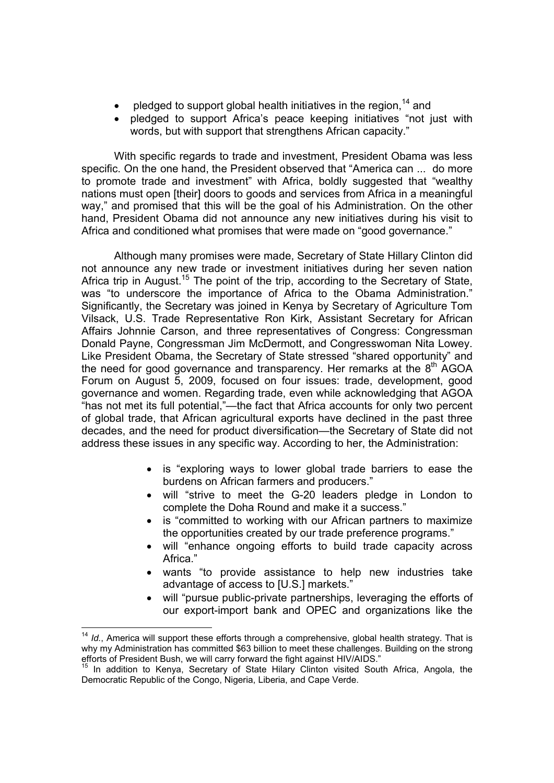- pledged to support global health initiatives in the region,  $14$  and
- pledged to support Africa's peace keeping initiatives "not just with words, but with support that strengthens African capacity."

With specific regards to trade and investment, President Obama was less specific. On the one hand, the President observed that "America can ... do more to promote trade and investment" with Africa, boldly suggested that "wealthy nations must open [their] doors to goods and services from Africa in a meaningful way," and promised that this will be the goal of his Administration. On the other hand, President Obama did not announce any new initiatives during his visit to Africa and conditioned what promises that were made on "good governance."

Although many promises were made, Secretary of State Hillary Clinton did not announce any new trade or investment initiatives during her seven nation Africa trip in August.<sup>15</sup> The point of the trip, according to the Secretary of State, was "to underscore the importance of Africa to the Obama Administration." Significantly, the Secretary was joined in Kenya by Secretary of Agriculture Tom Vilsack, U.S. Trade Representative Ron Kirk, Assistant Secretary for African Affairs Johnnie Carson, and three representatives of Congress: Congressman Donald Payne, Congressman Jim McDermott, and Congresswoman Nita Lowey. Like President Obama, the Secretary of State stressed "shared opportunity" and the need for good governance and transparency. Her remarks at the  $8<sup>th</sup>$  AGOA Forum on August 5, 2009, focused on four issues: trade, development, good governance and women. Regarding trade, even while acknowledging that AGOA "has not met its full potential,"—the fact that Africa accounts for only two percent of global trade, that African agricultural exports have declined in the past three decades, and the need for product diversification—the Secretary of State did not address these issues in any specific way. According to her, the Administration:

- is "exploring ways to lower global trade barriers to ease the burdens on African farmers and producers."
- will "strive to meet the G-20 leaders pledge in London to complete the Doha Round and make it a success."
- is "committed to working with our African partners to maximize the opportunities created by our trade preference programs."
- will "enhance ongoing efforts to build trade capacity across Africa."
- wants "to provide assistance to help new industries take advantage of access to [U.S.] markets."
- will "pursue public-private partnerships, leveraging the efforts of our export-import bank and OPEC and organizations like the

 $\overline{a}$ <sup>14</sup> *Id.*, America will support these efforts through a comprehensive, global health strategy. That is why my Administration has committed \$63 billion to meet these challenges. Building on the strong efforts of President Bush, we will carry forward the fight against HIV/AIDS."

<sup>&</sup>lt;sup>15</sup> In addition to Kenya, Secretary of State Hilary Clinton visited South Africa, Angola, the Democratic Republic of the Congo, Nigeria, Liberia, and Cape Verde.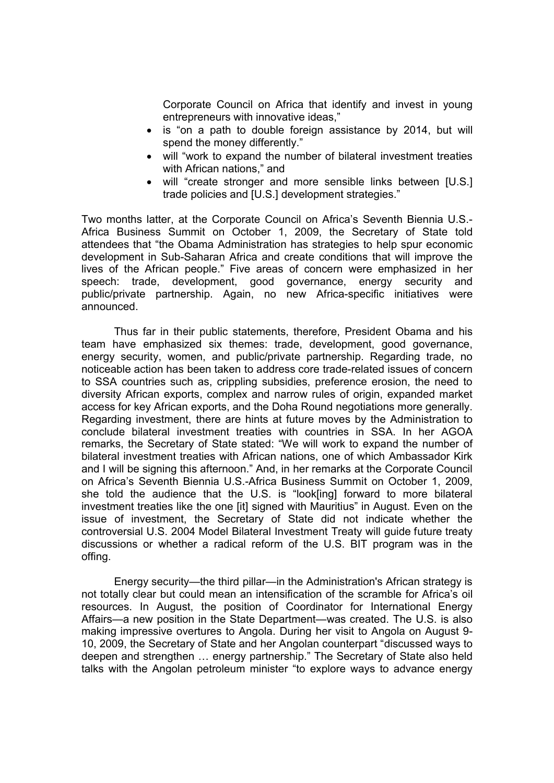Corporate Council on Africa that identify and invest in young entrepreneurs with innovative ideas,"

- is "on a path to double foreign assistance by 2014, but will spend the money differently."
- will "work to expand the number of bilateral investment treaties with African nations," and
- will "create stronger and more sensible links between [U.S.] trade policies and [U.S.] development strategies."

Two months latter, at the Corporate Council on Africa's Seventh Biennia U.S.- Africa Business Summit on October 1, 2009, the Secretary of State told attendees that "the Obama Administration has strategies to help spur economic development in Sub-Saharan Africa and create conditions that will improve the lives of the African people." Five areas of concern were emphasized in her speech: trade, development, good governance, energy security and public/private partnership. Again, no new Africa-specific initiatives were announced.

Thus far in their public statements, therefore, President Obama and his team have emphasized six themes: trade, development, good governance, energy security, women, and public/private partnership. Regarding trade, no noticeable action has been taken to address core trade-related issues of concern to SSA countries such as, crippling subsidies, preference erosion, the need to diversity African exports, complex and narrow rules of origin, expanded market access for key African exports, and the Doha Round negotiations more generally. Regarding investment, there are hints at future moves by the Administration to conclude bilateral investment treaties with countries in SSA. In her AGOA remarks, the Secretary of State stated: "We will work to expand the number of bilateral investment treaties with African nations, one of which Ambassador Kirk and I will be signing this afternoon." And, in her remarks at the Corporate Council on Africa's Seventh Biennia U.S.-Africa Business Summit on October 1, 2009, she told the audience that the U.S. is "look[ing] forward to more bilateral investment treaties like the one [it] signed with Mauritius" in August. Even on the issue of investment, the Secretary of State did not indicate whether the controversial U.S. 2004 Model Bilateral Investment Treaty will guide future treaty discussions or whether a radical reform of the U.S. BIT program was in the offing.

Energy security—the third pillar—in the Administration's African strategy is not totally clear but could mean an intensification of the scramble for Africa's oil resources. In August, the position of Coordinator for International Energy Affairs—a new position in the State Department—was created. The U.S. is also making impressive overtures to Angola. During her visit to Angola on August 9- 10, 2009, the Secretary of State and her Angolan counterpart "discussed ways to deepen and strengthen … energy partnership." The Secretary of State also held talks with the Angolan petroleum minister "to explore ways to advance energy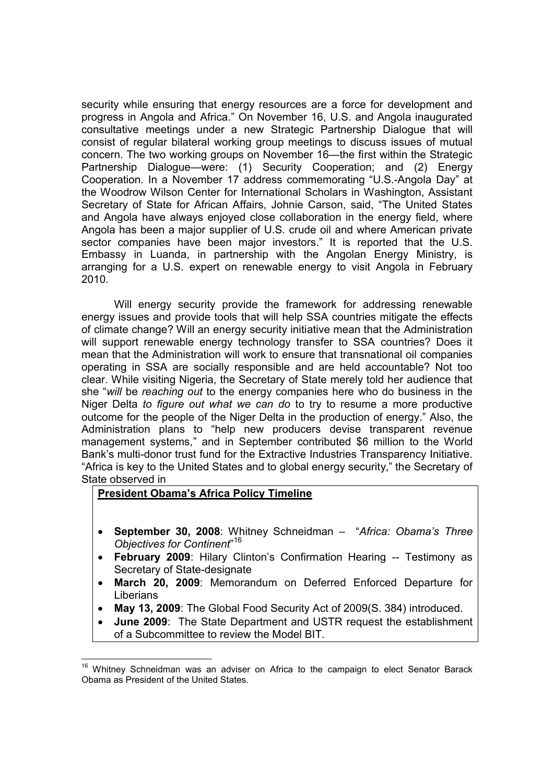security while ensuring that energy resources are a force for development and progress in Angola and Africa." On November 16, U.S. and Angola inaugurated consultative meetings under a new Strategic Partnership Dialogue that will consist of regular bilateral working group meetings to discuss issues of mutual concern. The two working groups on November 16—the first within the Strategic Partnership Dialogue—were: (1) Security Cooperation; and (2) Energy Cooperation. In a November 17 address commemorating "U.S.-Angola Day" at the Woodrow Wilson Center for International Scholars in Washington, Assistant Secretary of State for African Affairs, Johnie Carson, said, "The United States and Angola have always enjoyed close collaboration in the energy field, where Angola has been a major supplier of U.S. crude oil and where American private sector companies have been major investors." It is reported that the U.S. Embassy in Luanda, in partnership with the Angolan Energy Ministry, is arranging for a U.S. expert on renewable energy to visit Angola in February 2010.

Will energy security provide the framework for addressing renewable energy issues and provide tools that will help SSA countries mitigate the effects of climate change? Will an energy security initiative mean that the Administration will support renewable energy technology transfer to SSA countries? Does it mean that the Administration will work to ensure that transnational oil companies operating in SSA are socially responsible and are held accountable? Not too clear. While visiting Nigeria, the Secretary of State merely told her audience that she "*will* be *reaching out* to the energy companies here who do business in the Niger Delta *to figure out what we can do* to try to resume a more productive outcome for the people of the Niger Delta in the production of energy." Also, the Administration plans to "help new producers devise transparent revenue management systems," and in September contributed \$6 million to the World Bank's multi-donor trust fund for the Extractive Industries Transparency Initiative. "Africa is key to the United States and to global energy security," the Secretary of State observed in

#### **President Obama's Africa Policy Timeline**

- **September 30, 2008**: Whitney Schneidman "*Africa: Obama's Three Objectives for Continent*" 16
- **February 2009**: Hilary Clinton's Confirmation Hearing -- Testimony as Secretary of State-designate
- **March 20, 2009**: Memorandum on Deferred Enforced Departure for Liberians
- **May 13, 2009**: The Global Food Security Act of 2009(S. 384) introduced.
- **June 2009**: The State Department and USTR request the establishment of a Subcommittee to review the Model BIT.

<sup>&</sup>lt;sup>16</sup> Whitney Schneidman was an adviser on Africa to the campaign to elect Senator Barack Obama as President of the United States.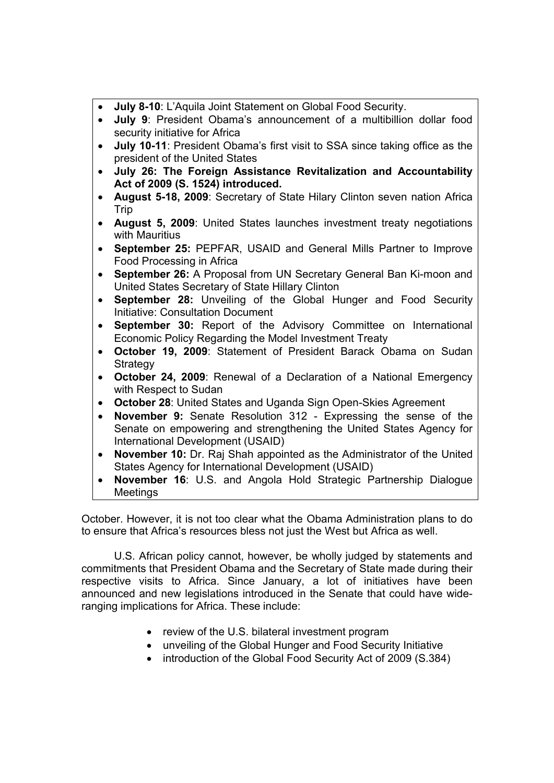- **July 8-10**: L'Aquila Joint Statement on Global Food Security.
- **July 9**: President Obama's announcement of a multibillion dollar food security initiative for Africa
- **July 10-11**: President Obama's first visit to SSA since taking office as the president of the United States
- **July 26: The Foreign Assistance Revitalization and Accountability Act of 2009 (S. 1524) introduced.**
- **August 5-18, 2009**: Secretary of State Hilary Clinton seven nation Africa Trip
- **August 5, 2009**: [United States launches investment treaty negotiations](http://www.state.gov/r/pa/prs/ps/2009/aug/126888.htm)  [with Mauritius](http://www.state.gov/r/pa/prs/ps/2009/aug/126888.htm)
- **September 25:** PEPFAR, USAID and General Mills Partner to Improve Food Processing in Africa
- **September 26:** A Proposal from UN Secretary General Ban Ki-moon and United States Secretary of State Hillary Clinton
- **September 28:** Unveiling of the Global Hunger and Food Security Initiative: Consultation Document
- **September 30:** Report of the Advisory Committee on International Economic Policy Regarding the Model Investment Treaty
- **October 19, 2009**: Statement of President Barack Obama on Sudan **Strategy**
- **October 24, 2009**: Renewal of a Declaration of a National Emergency with Respect to Sudan
- **October 28**: United States and Uganda Sign Open-Skies Agreement
- **November 9:** Senate Resolution 312 Expressing the sense of the Senate on empowering and strengthening the United States Agency for International Development (USAID)
- **November 10:** Dr. Raj Shah appointed as the Administrator of the United States Agency for International Development (USAID)
- **November 16**: U.S. and Angola Hold Strategic Partnership Dialogue Meetings

October. However, it is not too clear what the Obama Administration plans to do to ensure that Africa's resources bless not just the West but Africa as well.

U.S. African policy cannot, however, be wholly judged by statements and commitments that President Obama and the Secretary of State made during their respective visits to Africa. Since January, a lot of initiatives have been announced and new legislations introduced in the Senate that could have wideranging implications for Africa. These include:

- review of the U.S. bilateral investment program
- unveiling of the Global Hunger and Food Security Initiative
- introduction of the Global Food Security Act of 2009 (S.384)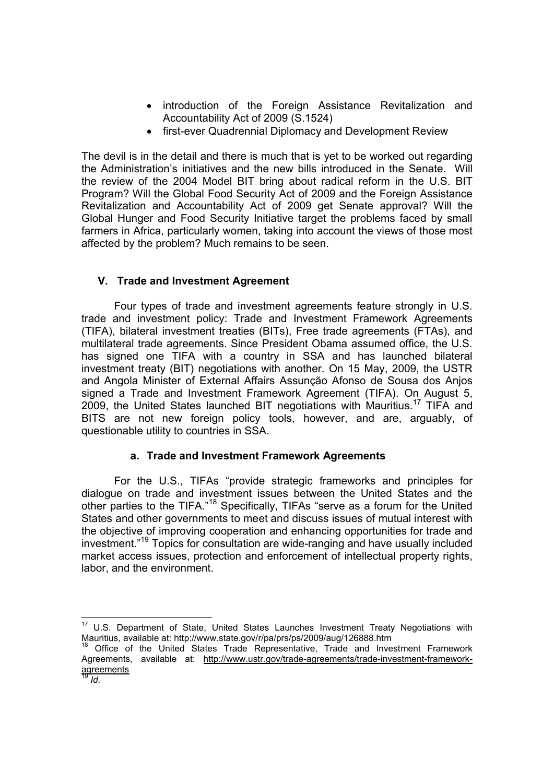- introduction of the Foreign Assistance Revitalization and Accountability Act of 2009 (S.1524)
- first-ever Quadrennial Diplomacy and Development Review

The devil is in the detail and there is much that is yet to be worked out regarding the Administration's initiatives and the new bills introduced in the Senate. Will the review of the 2004 Model BIT bring about radical reform in the U.S. BIT Program? Will the Global Food Security Act of 2009 and the Foreign Assistance Revitalization and Accountability Act of 2009 get Senate approval? Will the Global Hunger and Food Security Initiative target the problems faced by small farmers in Africa, particularly women, taking into account the views of those most affected by the problem? Much remains to be seen.

# **V. Trade and Investment Agreement**

Four types of trade and investment agreements feature strongly in U.S. trade and investment policy: Trade and Investment Framework Agreements (TIFA), bilateral investment treaties (BITs), Free trade agreements (FTAs), and multilateral trade agreements. Since President Obama assumed office, the U.S. has signed one TIFA with a country in SSA and has launched bilateral investment treaty (BIT) negotiations with another. On 15 May, 2009, the USTR and Angola Minister of External Affairs Assunção Afonso de Sousa dos Anjos signed a Trade and Investment Framework Agreement (TIFA). On August 5, 2009, the United States launched BIT negotiations with Mauritius.<sup>17</sup> TIFA and BITS are not new foreign policy tools, however, and are, arguably, of questionable utility to countries in SSA.

# **a. Trade and Investment Framework Agreements**

For the U.S., TIFAs "provide strategic frameworks and principles for dialogue on trade and investment issues between the United States and the other parties to the TIFA."<sup>18</sup> Specifically, TIFAs "serve as a forum for the United States and other governments to meet and discuss issues of mutual interest with the objective of improving cooperation and enhancing opportunities for trade and investment."<sup>19</sup> Topics for consultation are wide-ranging and have usually included market access issues, protection and enforcement of intellectual property rights, labor, and the environment.

 $17$  U.S. Department of State, United States Launches Investment Treaty Negotiations with Mauritius, available at: http://www.state.gov/r/pa/prs/ps/2009/aug/126888.htm

Office of the United States Trade Representative, Trade and Investment Framework Agreements, available at: http://www.ustr.gov/trade-agreements/trade-investment-frameworkagreements

<sup>19</sup> *Id.*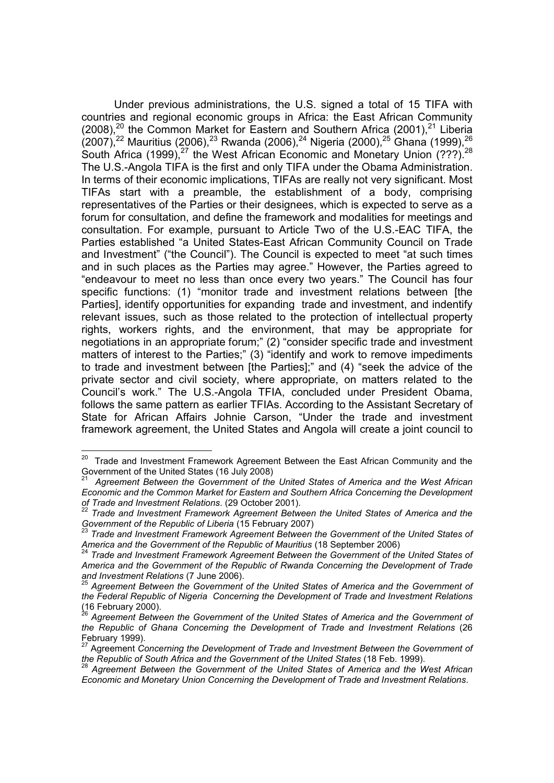Under previous administrations, the U.S. signed a total of 15 TIFA with countries and regional economic groups in Africa: the East African Community  $(2008)$ ,<sup>20</sup> the Common Market for Eastern and Southern Africa (2001),<sup>21</sup> Liberia  $(2007)^{22}$  Mauritius (2006),<sup>23</sup> Rwanda (2006),<sup>24</sup> Nigeria (2000),<sup>25</sup> Ghana (1999),<sup>26</sup> South Africa (1999),<sup>27</sup> the West African Economic and Monetary Union (???).<sup>28</sup> The U.S.-Angola TIFA is the first and only TIFA under the Obama Administration. In terms of their economic implications, TIFAs are really not very significant. Most TIFAs start with a preamble, the establishment of a body, comprising representatives of the Parties or their designees, which is expected to serve as a forum for consultation, and define the framework and modalities for meetings and consultation. For example, pursuant to Article Two of the U.S.-EAC TIFA, the Parties established "a United States-East African Community Council on Trade and Investment" ("the Council"). The Council is expected to meet "at such times and in such places as the Parties may agree." However, the Parties agreed to "endeavour to meet no less than once every two years." The Council has four specific functions: (1) "monitor trade and investment relations between [the Parties], identify opportunities for expanding trade and investment, and indentify relevant issues, such as those related to the protection of intellectual property rights, workers rights, and the environment, that may be appropriate for negotiations in an appropriate forum;" (2) "consider specific trade and investment matters of interest to the Parties;" (3) "identify and work to remove impediments to trade and investment between [the Parties];" and (4) "seek the advice of the private sector and civil society, where appropriate, on matters related to the Council's work." The U.S.-Angola TFIA, concluded under President Obama, follows the same pattern as earlier TFIAs. According to the Assistant Secretary of State for African Affairs Johnie Carson, "Under the trade and investment framework agreement, the United States and Angola will create a joint council to

 $20\,$ Trade and Investment Framework Agreement Between the East African Community and the Government of the United States (16 July 2008)

<sup>21</sup> *Agreement Between the Government of the United States of America and the West African Economic and the Common Market for Eastern and Southern Africa Concerning the Development* 

*of Trade and Investment Relations*. (29 October 2001). <sup>22</sup> *Trade and Investment Framework Agreement Between the United States of America and the* 

<sup>&</sup>lt;sup>23</sup> Trade and Investment Framework Agreement Between the Government of the United States of<br>America and the Government of the Republic of Mauritius (18 September 2006)

<sup>&</sup>lt;sup>24</sup> Trade and Investment Framework Agreement Between the Government of the United States of *America and the Government of the Republic of Rwanda Concerning the Development of Trade and Investment Relations (7 June 2006).*<br><sup>25</sup> Agreement Between the Government of the United States of America and the Government of

*the Federal Republic of Nigeria Concerning the Development of Trade and Investment Relations*   $(16$  February 2000).

<sup>26</sup> *Agreement Between the Government of the United States of America and the Government of the Republic of Ghana Concerning the Development of Trade and Investment Relations (26* February 1999).

<sup>27</sup> Agreement *Concerning the Development of Trade and Investment Between the Government of the Republic of South Africa and the Government of the United States* (18 Feb. 1999). <sup>28</sup> *Agreement Between the Government of the United States of America and the West African* 

*Economic and Monetary Union Concerning the Development of Trade and Investment Relations*.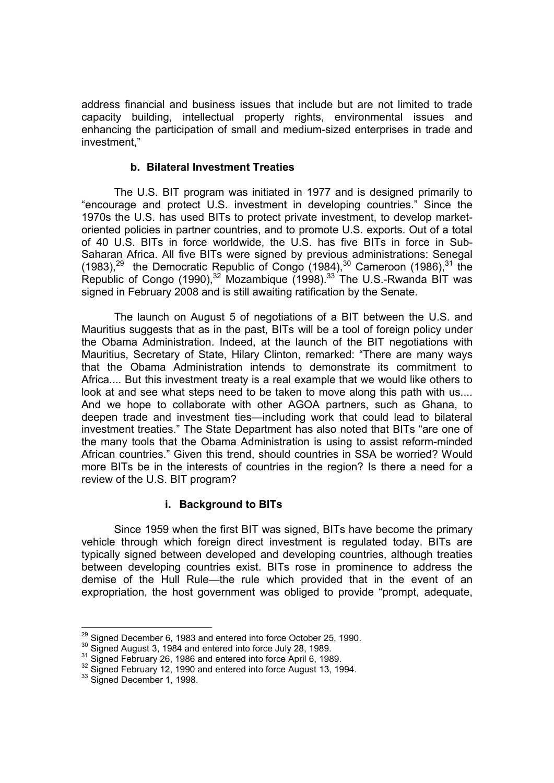address financial and business issues that include but are not limited to trade capacity building, intellectual property rights, environmental issues and enhancing the participation of small and medium-sized enterprises in trade and investment,"

#### **b. Bilateral Investment Treaties**

The U.S. BIT program was initiated in 1977 and is designed primarily to "encourage and protect U.S. investment in developing countries." Since the 1970s the U.S. has used BITs to protect private investment, to develop marketoriented policies in partner countries, and to promote U.S. exports. Out of a total of 40 U.S. BITs in force worldwide, the U.S. has five BITs in force in Sub-Saharan Africa. All five BITs were signed by previous administrations: Senegal (1983), $^{29}$  the Democratic Republic of Congo (1984), $^{30}$  Cameroon (1986), $^{31}$  the Republic of Congo (1990), $32$  Mozambique (1998). $33$  The U.S.-Rwanda BIT was signed in February 2008 and is still awaiting ratification by the Senate.

The launch on August 5 of negotiations of a BIT between the U.S. and Mauritius suggests that as in the past, BITs will be a tool of foreign policy under the Obama Administration. Indeed, at the launch of the BIT negotiations with Mauritius, Secretary of State, Hilary Clinton, remarked: "There are many ways that the Obama Administration intends to demonstrate its commitment to Africa.... But this investment treaty is a real example that we would like others to look at and see what steps need to be taken to move along this path with us.... And we hope to collaborate with other AGOA partners, such as Ghana, to deepen trade and investment ties—including work that could lead to bilateral investment treaties." The State Department has also noted that BITs "are one of the many tools that the Obama Administration is using to assist reform-minded African countries." Given this trend, should countries in SSA be worried? Would more BITs be in the interests of countries in the region? Is there a need for a review of the U.S. BIT program?

# **i. Background to BITs**

Since 1959 when the first BIT was signed, BITs have become the primary vehicle through which foreign direct investment is regulated today. BITs are typically signed between developed and developing countries, although treaties between developing countries exist. BITs rose in prominence to address the demise of the Hull Rule—the rule which provided that in the event of an expropriation, the host government was obliged to provide "prompt, adequate,

<sup>&</sup>lt;sup>29</sup> Signed December 6, 1983 and entered into force October 25, 1990.

 $30^{\circ}$  Signed August 3, 1984 and entered into force July 28, 1989.<br> $31^{\circ}$  Signed February 26, 1986 and entered into force April 6, 1989.<br> $32^{\circ}$  Signed February 12, 1990 and entered into force August 13, 1994.<br> $33^{\circ$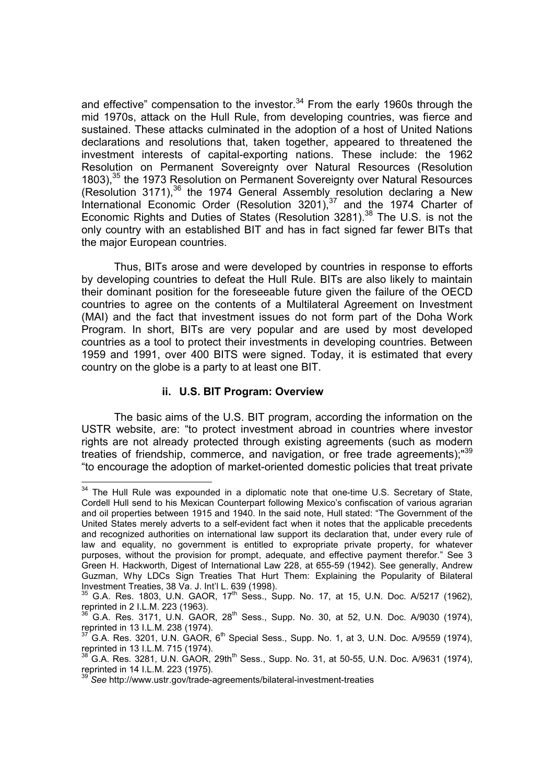and effective" compensation to the investor.<sup>34</sup> From the early 1960s through the mid 1970s, attack on the Hull Rule, from developing countries, was fierce and sustained. These attacks culminated in the adoption of a host of United Nations declarations and resolutions that, taken together, appeared to threatened the investment interests of capital-exporting nations. These include: the 1962 Resolution on Permanent Sovereignty over Natural Resources (Resolution 1803),<sup>35</sup> the 1973 Resolution on Permanent Sovereignty over Natural Resources (Resolution 3171), $36$  the 1974 General Assembly resolution declaring a New International Economic Order (Resolution  $3201$ ),  $37$  and the 1974 Charter of Economic Rights and Duties of States (Resolution 3281).<sup>38</sup> The U.S. is not the only country with an established BIT and has in fact signed far fewer BITs that the major European countries.

Thus, BITs arose and were developed by countries in response to efforts by developing countries to defeat the Hull Rule. BITs are also likely to maintain their dominant position for the foreseeable future given the failure of the OECD countries to agree on the contents of a Multilateral Agreement on Investment (MAI) and the fact that investment issues do not form part of the Doha Work Program. In short, BITs are very popular and are used by most developed countries as a tool to protect their investments in developing countries. Between 1959 and 1991, over 400 BITS were signed. Today, it is estimated that every country on the globe is a party to at least one BIT.

#### **ii. U.S. BIT Program: Overview**

 $\overline{a}$ 

The basic aims of the U.S. BIT program, according the information on the USTR website, are: "to protect investment abroad in countries where investor rights are not already protected through existing agreements (such as modern treaties of friendship, commerce, and navigation, or free trade agreements):<sup>"39</sup> "to encourage the adoption of market-oriented domestic policies that treat private

 $34$  The Hull Rule was expounded in a diplomatic note that one-time U.S. Secretary of State, Cordell Hull send to his Mexican Counterpart following Mexico's confiscation of various agrarian and oil properties between 1915 and 1940. In the said note, Hull stated: "The Government of the United States merely adverts to a self-evident fact when it notes that the applicable precedents and recognized authorities on international law support its declaration that, under every rule of law and equality, no government is entitled to expropriate private property, for whatever purposes, without the provision for prompt, adequate, and effective payment therefor." See 3 Green H. Hackworth, Digest of International Law 228, at 655-59 (1942). See generally, Andrew Guzman, Why LDCs Sign Treaties That Hurt Them: Explaining the Popularity of Bilateral Investment Treaties, 38 Va. J. Int'l L. 639 (1998).

 $35$  G.A. Res. 1803, U.N. GAOR,  $17<sup>th</sup>$  Sess., Supp. No. 17, at 15, U.N. Doc. A/5217 (1962), reprinted in 2 I.L.M. 223 (1963).

 $\overline{S}$  G.A. Res. 3171, U.N. GAOR, 28<sup>th</sup> Sess., Supp. No. 30, at 52, U.N. Doc. A/9030 (1974), reprinted in 13 I.L.M. 238 (1974).

 $G.A.$  Res. 3201, U.N.  $G A O R$ ,  $6<sup>th</sup>$  Special Sess., Supp. No. 1, at 3, U.N. Doc. A/9559 (1974), reprinted in 13 I.L.M. 715 (1974).

 $G.A.$  Res. 3281, U.N.  $G AOR$ , 29th<sup>th</sup> Sess., Supp. No. 31, at 50-55, U.N. Doc. A/9631 (1974), reprinted in 14 I.L.M. 223 (1975).

<sup>39</sup> *See* http://www.ustr.gov/trade-agreements/bilateral-investment-treaties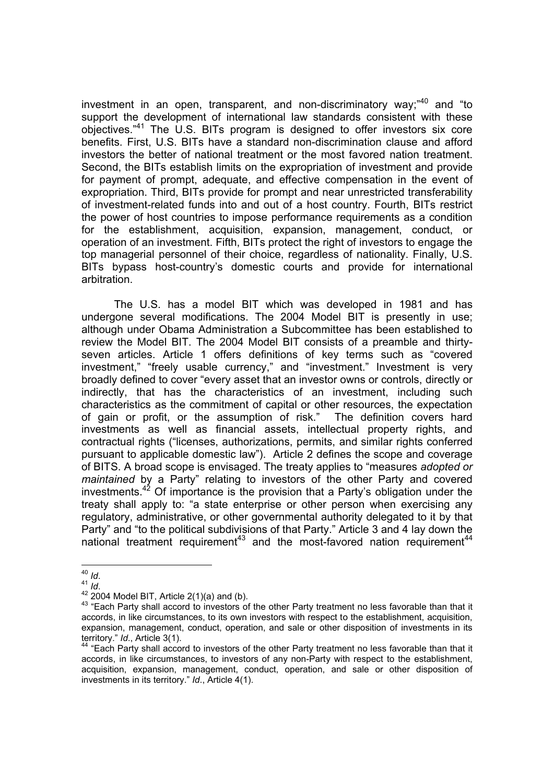investment in an open, transparent, and non-discriminatory way;<sup>"40</sup> and "to support the development of international law standards consistent with these objectives."<sup>41</sup> The U.S. BITs program is designed to offer investors six core benefits. First, U.S. BITs have a standard non-discrimination clause and afford investors the better of national treatment or the most favored nation treatment. Second, the BITs establish limits on the expropriation of investment and provide for payment of prompt, adequate, and effective compensation in the event of expropriation. Third, BITs provide for prompt and near unrestricted transferability of investment-related funds into and out of a host country. Fourth, BITs restrict the power of host countries to impose performance requirements as a condition for the establishment, acquisition, expansion, management, conduct, or operation of an investment. Fifth, BITs protect the right of investors to engage the top managerial personnel of their choice, regardless of nationality. Finally, U.S. BITs bypass host-country's domestic courts and provide for international arbitration.

The U.S. has a model BIT which was developed in 1981 and has undergone several modifications. The 2004 Model BIT is presently in use; although under Obama Administration a Subcommittee has been established to review the Model BIT. The 2004 Model BIT consists of a preamble and thirtyseven articles. Article 1 offers definitions of key terms such as "covered investment," "freely usable currency," and "investment." Investment is very broadly defined to cover "every asset that an investor owns or controls, directly or indirectly, that has the characteristics of an investment, including such characteristics as the commitment of capital or other resources, the expectation of gain or profit, or the assumption of risk." The definition covers hard investments as well as financial assets, intellectual property rights, and contractual rights ("licenses, authorizations, permits, and similar rights conferred pursuant to applicable domestic law"). Article 2 defines the scope and coverage of BITS. A broad scope is envisaged. The treaty applies to "measures *adopted or maintained* by a Party" relating to investors of the other Party and covered investments.<sup>42</sup> Of importance is the provision that a Party's obligation under the treaty shall apply to: "a state enterprise or other person when exercising any regulatory, administrative, or other governmental authority delegated to it by that Party" and "to the political subdivisions of that Party." Article 3 and 4 lay down the national treatment requirement<sup>43</sup> and the most-favored nation requirement<sup>44</sup>

 $40$  Id

<sup>10.&</sup>lt;br><sup>41</sup> *Id*.<br><sup>42</sup> 2004 Model BIT, Article 2(1)(a) and (b).<br><sup>43</sup> "Each Party shall accord to investors of the other Party treatment no less favorable than that it accords, in like circumstances, to its own investors with respect to the establishment, acquisition, expansion, management, conduct, operation, and sale or other disposition of investments in its territory." *Id.*, Article 3(1).<br><sup>44</sup> "Each Party shall accord to investors of the other Party treatment no less favorable than that it

accords, in like circumstances, to investors of any non-Party with respect to the establishment, acquisition, expansion, management, conduct, operation, and sale or other disposition of investments in its territory." *Id*., Article 4(1).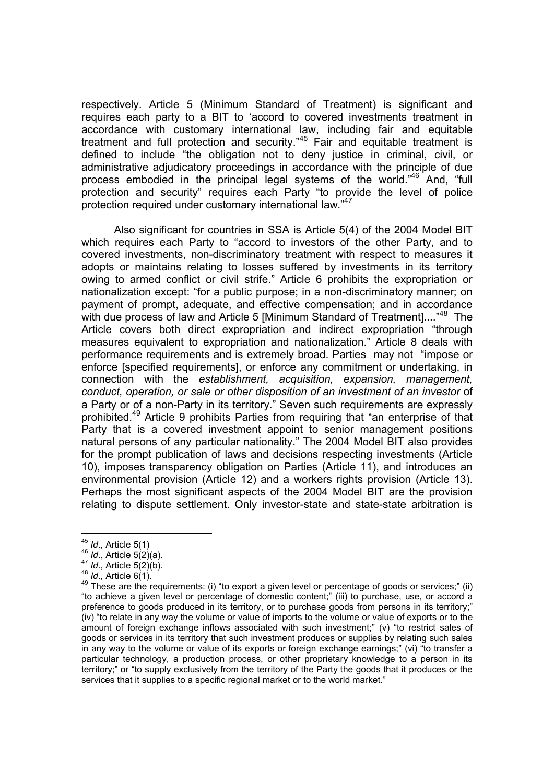respectively. Article 5 (Minimum Standard of Treatment) is significant and requires each party to a BIT to 'accord to covered investments treatment in accordance with customary international law, including fair and equitable treatment and full protection and security."<sup>45</sup> Fair and equitable treatment is defined to include "the obligation not to deny justice in criminal, civil, or administrative adjudicatory proceedings in accordance with the principle of due process embodied in the principal legal systems of the world."46 And, "full protection and security" requires each Party "to provide the level of police protection required under customary international law."<sup>47</sup>

Also significant for countries in SSA is Article 5(4) of the 2004 Model BIT which requires each Party to "accord to investors of the other Party, and to covered investments, non-discriminatory treatment with respect to measures it adopts or maintains relating to losses suffered by investments in its territory owing to armed conflict or civil strife." Article 6 prohibits the expropriation or nationalization except: "for a public purpose; in a non-discriminatory manner; on payment of prompt, adequate, and effective compensation; and in accordance with due process of law and Article 5 [Minimum Standard of Treatment]....<sup>"48</sup> The Article covers both direct expropriation and indirect expropriation "through measures equivalent to expropriation and nationalization." Article 8 deals with performance requirements and is extremely broad. Parties may not "impose or enforce [specified requirements], or enforce any commitment or undertaking, in connection with the *establishment, acquisition, expansion, management, conduct, operation, or sale or other disposition of an investment of an investor* of a Party or of a non-Party in its territory." Seven such requirements are expressly prohibited.<sup>49</sup> Article 9 prohibits Parties from requiring that "an enterprise of that Party that is a covered investment appoint to senior management positions natural persons of any particular nationality." The 2004 Model BIT also provides for the prompt publication of laws and decisions respecting investments (Article 10), imposes transparency obligation on Parties (Article 11), and introduces an environmental provision (Article 12) and a workers rights provision (Article 13). Perhaps the most significant aspects of the 2004 Model BIT are the provision relating to dispute settlement. Only investor-state and state-state arbitration is

1

<sup>&</sup>lt;sup>45</sup> *Id.*, Article 5(1)<br><sup>46</sup> *Id.*, Article 5(2)(a).<br><sup>47</sup> *Id.*, Article 5(2)(b).<br><sup>48</sup> *Id.*, Article 6(1).<br><sup>49</sup> These are the requirements: (i) "to export a given level or percentage of goods or services;" (ii) "to achieve a given level or percentage of domestic content;" (iii) to purchase, use, or accord a preference to goods produced in its territory, or to purchase goods from persons in its territory;" (iv) "to relate in any way the volume or value of imports to the volume or value of exports or to the amount of foreign exchange inflows associated with such investment;" (v) "to restrict sales of goods or services in its territory that such investment produces or supplies by relating such sales in any way to the volume or value of its exports or foreign exchange earnings;" (vi) "to transfer a particular technology, a production process, or other proprietary knowledge to a person in its territory;" or "to supply exclusively from the territory of the Party the goods that it produces or the services that it supplies to a specific regional market or to the world market."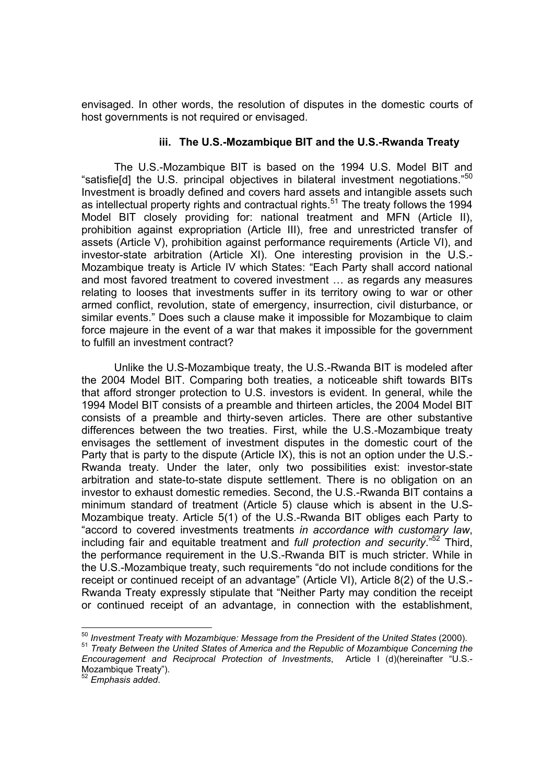envisaged. In other words, the resolution of disputes in the domestic courts of host governments is not required or envisaged.

## **iii. The U.S.-Mozambique BIT and the U.S.-Rwanda Treaty**

The U.S.-Mozambique BIT is based on the 1994 U.S. Model BIT and "satisfie[d] the U.S. principal objectives in bilateral investment negotiations."<sup>50</sup> Investment is broadly defined and covers hard assets and intangible assets such as intellectual property rights and contractual rights.<sup>51</sup> The treaty follows the 1994 Model BIT closely providing for: national treatment and MFN (Article II), prohibition against expropriation (Article III), free and unrestricted transfer of assets (Article V), prohibition against performance requirements (Article VI), and investor-state arbitration (Article XI). One interesting provision in the U.S.- Mozambique treaty is Article IV which States: "Each Party shall accord national and most favored treatment to covered investment … as regards any measures relating to looses that investments suffer in its territory owing to war or other armed conflict, revolution, state of emergency, insurrection, civil disturbance, or similar events." Does such a clause make it impossible for Mozambique to claim force majeure in the event of a war that makes it impossible for the government to fulfill an investment contract?

Unlike the U.S-Mozambique treaty, the U.S.-Rwanda BIT is modeled after the 2004 Model BIT. Comparing both treaties, a noticeable shift towards BITs that afford stronger protection to U.S. investors is evident. In general, while the 1994 Model BIT consists of a preamble and thirteen articles, the 2004 Model BIT consists of a preamble and thirty-seven articles. There are other substantive differences between the two treaties. First, while the U.S.-Mozambique treaty envisages the settlement of investment disputes in the domestic court of the Party that is party to the dispute (Article IX), this is not an option under the U.S.- Rwanda treaty. Under the later, only two possibilities exist: investor-state arbitration and state-to-state dispute settlement. There is no obligation on an investor to exhaust domestic remedies. Second, the U.S.-Rwanda BIT contains a minimum standard of treatment (Article 5) clause which is absent in the U.S-Mozambique treaty. Article 5(1) of the U.S.-Rwanda BIT obliges each Party to "accord to covered investments treatments *in accordance with customary law*, including fair and equitable treatment and *full protection and security*."52 Third, the performance requirement in the U.S.-Rwanda BIT is much stricter. While in the U.S.-Mozambique treaty, such requirements "do not include conditions for the receipt or continued receipt of an advantage" (Article VI), Article 8(2) of the U.S.- Rwanda Treaty expressly stipulate that "Neither Party may condition the receipt or continued receipt of an advantage, in connection with the establishment,

<sup>&</sup>lt;sup>50</sup> Investment Treaty with Mozambique: Message from the President of the United States (2000).

<sup>50</sup> *Investment Treaty with Mozambique: Message from the President of the United States* (2000). <sup>51</sup> *Treaty Between the United States of America and the Republic of Mozambique Concerning the Encouragement and Reciprocal Protection of Investments*, Article I (d)(hereinafter "U.S.- Mozambique Treaty").

<sup>52</sup> *Emphasis added*.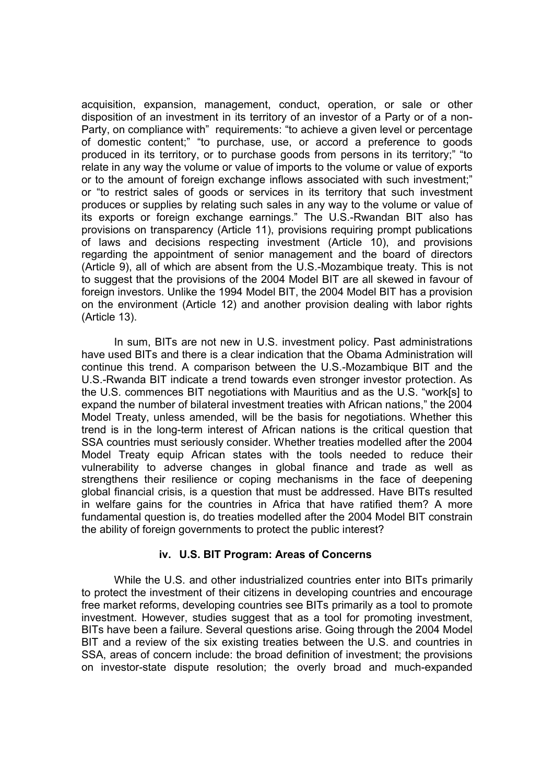acquisition, expansion, management, conduct, operation, or sale or other disposition of an investment in its territory of an investor of a Party or of a non-Party, on compliance with" requirements: "to achieve a given level or percentage of domestic content;" "to purchase, use, or accord a preference to goods produced in its territory, or to purchase goods from persons in its territory;" "to relate in any way the volume or value of imports to the volume or value of exports or to the amount of foreign exchange inflows associated with such investment;" or "to restrict sales of goods or services in its territory that such investment produces or supplies by relating such sales in any way to the volume or value of its exports or foreign exchange earnings." The U.S.-Rwandan BIT also has provisions on transparency (Article 11), provisions requiring prompt publications of laws and decisions respecting investment (Article 10), and provisions regarding the appointment of senior management and the board of directors (Article 9), all of which are absent from the U.S.-Mozambique treaty. This is not to suggest that the provisions of the 2004 Model BIT are all skewed in favour of foreign investors. Unlike the 1994 Model BIT, the 2004 Model BIT has a provision on the environment (Article 12) and another provision dealing with labor rights (Article 13).

In sum, BITs are not new in U.S. investment policy. Past administrations have used BITs and there is a clear indication that the Obama Administration will continue this trend. A comparison between the U.S.-Mozambique BIT and the U.S.-Rwanda BIT indicate a trend towards even stronger investor protection. As the U.S. commences BIT negotiations with Mauritius and as the U.S. "work[s] to expand the number of bilateral investment treaties with African nations," the 2004 Model Treaty, unless amended, will be the basis for negotiations. Whether this trend is in the long-term interest of African nations is the critical question that SSA countries must seriously consider. Whether treaties modelled after the 2004 Model Treaty equip African states with the tools needed to reduce their vulnerability to adverse changes in global finance and trade as well as strengthens their resilience or coping mechanisms in the face of deepening global financial crisis, is a question that must be addressed. Have BITs resulted in welfare gains for the countries in Africa that have ratified them? A more fundamental question is, do treaties modelled after the 2004 Model BIT constrain the ability of foreign governments to protect the public interest?

#### **iv. U.S. BIT Program: Areas of Concerns**

While the U.S. and other industrialized countries enter into BITs primarily to protect the investment of their citizens in developing countries and encourage free market reforms, developing countries see BITs primarily as a tool to promote investment. However, studies suggest that as a tool for promoting investment, BITs have been a failure. Several questions arise. Going through the 2004 Model BIT and a review of the six existing treaties between the U.S. and countries in SSA, areas of concern include: the broad definition of investment; the provisions on investor-state dispute resolution; the overly broad and much-expanded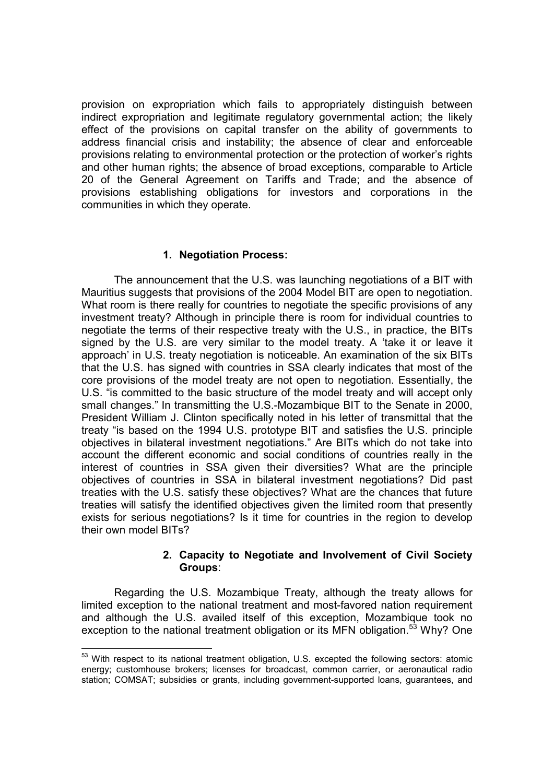provision on expropriation which fails to appropriately distinguish between indirect expropriation and legitimate regulatory governmental action; the likely effect of the provisions on capital transfer on the ability of governments to address financial crisis and instability; the absence of clear and enforceable provisions relating to environmental protection or the protection of worker's rights and other human rights; the absence of broad exceptions, comparable to Article 20 of the General Agreement on Tariffs and Trade; and the absence of provisions establishing obligations for investors and corporations in the communities in which they operate.

## **1. Negotiation Process:**

The announcement that the U.S. was launching negotiations of a BIT with Mauritius suggests that provisions of the 2004 Model BIT are open to negotiation. What room is there really for countries to negotiate the specific provisions of any investment treaty? Although in principle there is room for individual countries to negotiate the terms of their respective treaty with the U.S., in practice, the BITs signed by the U.S. are very similar to the model treaty. A 'take it or leave it approach' in U.S. treaty negotiation is noticeable. An examination of the six BITs that the U.S. has signed with countries in SSA clearly indicates that most of the core provisions of the model treaty are not open to negotiation. Essentially, the U.S. "is committed to the basic structure of the model treaty and will accept only small changes." In transmitting the U.S.-Mozambique BIT to the Senate in 2000, President William J. Clinton specifically noted in his letter of transmittal that the treaty "is based on the 1994 U.S. prototype BIT and satisfies the U.S. principle objectives in bilateral investment negotiations." Are BITs which do not take into account the different economic and social conditions of countries really in the interest of countries in SSA given their diversities? What are the principle objectives of countries in SSA in bilateral investment negotiations? Did past treaties with the U.S. satisfy these objectives? What are the chances that future treaties will satisfy the identified objectives given the limited room that presently exists for serious negotiations? Is it time for countries in the region to develop their own model BITs?

#### **2. Capacity to Negotiate and Involvement of Civil Society Groups**:

Regarding the U.S. Mozambique Treaty, although the treaty allows for limited exception to the national treatment and most-favored nation requirement and although the U.S. availed itself of this exception, Mozambique took no exception to the national treatment obligation or its MFN obligation.<sup>53</sup> Why? One

 $53$  With respect to its national treatment obligation, U.S. excepted the following sectors: atomic energy; customhouse brokers; licenses for broadcast, common carrier, or aeronautical radio station; COMSAT; subsidies or grants, including government-supported loans, guarantees, and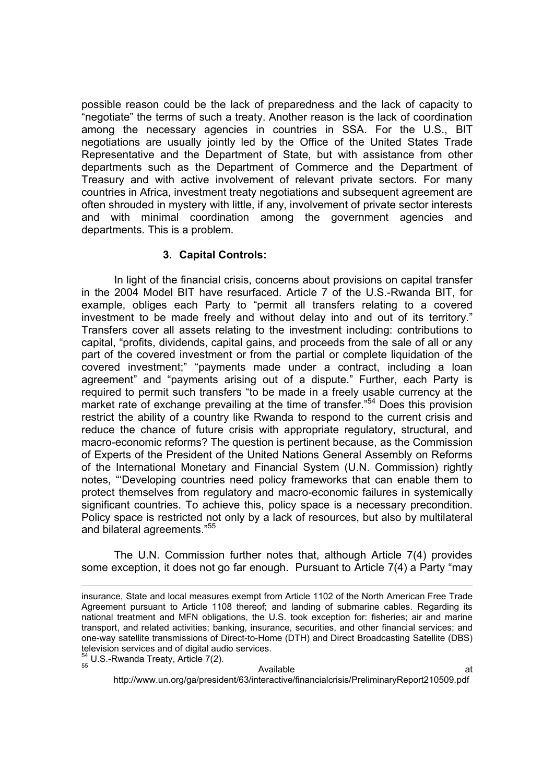possible reason could be the lack of preparedness and the lack of capacity to "negotiate" the terms of such a treaty. Another reason is the lack of coordination among the necessary agencies in countries in SSA. For the U.S., BIT negotiations are usually jointly led by the Office of the United States Trade Representative and the Department of State, but with assistance from other departments such as the Department of Commerce and the Department of Treasury and with active involvement of relevant private sectors. For many countries in Africa, investment treaty negotiations and subsequent agreement are often shrouded in mystery with little, if any, involvement of private sector interests and with minimal coordination among the government agencies and departments. This is a problem.

## **3. Capital Controls:**

In light of the financial crisis, concerns about provisions on capital transfer in the 2004 Model BIT have resurfaced. Article 7 of the U.S.-Rwanda BIT, for example, obliges each Party to "permit all transfers relating to a covered investment to be made freely and without delay into and out of its territory." Transfers cover all assets relating to the investment including: contributions to capital, "profits, dividends, capital gains, and proceeds from the sale of all or any part of the covered investment or from the partial or complete liquidation of the covered investment;" "payments made under a contract, including a loan agreement" and "payments arising out of a dispute." Further, each Party is required to permit such transfers "to be made in a freely usable currency at the market rate of exchange prevailing at the time of transfer."<sup>54</sup> Does this provision restrict the ability of a country like Rwanda to respond to the current crisis and reduce the chance of future crisis with appropriate regulatory, structural, and macro-economic reforms? The question is pertinent because, as the Commission of Experts of the President of the United Nations General Assembly on Reforms of the International Monetary and Financial System (U.N. Commission) rightly notes, "'Developing countries need policy frameworks that can enable them to protect themselves from regulatory and macro-economic failures in systemically significant countries. To achieve this, policy space is a necessary precondition. Policy space is restricted not only by a lack of resources, but also by multilateral and bilateral agreements."<sup>55</sup>

The U.N. Commission further notes that, although Article 7(4) provides some exception, it does not go far enough. Pursuant to Article 7(4) a Party "may

-

http://www.un.org/ga/president/63/interactive/financialcrisis/PreliminaryReport210509.pdf

insurance, State and local measures exempt from Article 1102 of the North American Free Trade Agreement pursuant to Article 1108 thereof; and landing of submarine cables. Regarding its national treatment and MFN obligations, the U.S. took exception for: fisheries; air and marine transport, and related activities; banking, insurance, securities, and other financial services; and one-way satellite transmissions of Direct-to-Home (DTH) and Direct Broadcasting Satellite (DBS) television services and of digital audio services.  $54 \text{ U.S.-Rwanda Treaty, Article } 7(2).$ <br> $55 \text{ Avalable}$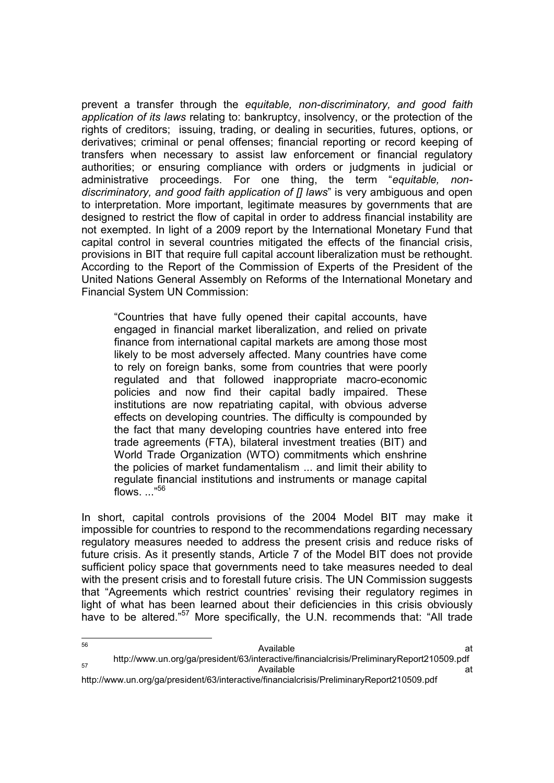prevent a transfer through the *equitable, non-discriminatory, and good faith application of its laws* relating to: bankruptcy, insolvency, or the protection of the rights of creditors; issuing, trading, or dealing in securities, futures, options, or derivatives; criminal or penal offenses; financial reporting or record keeping of transfers when necessary to assist law enforcement or financial regulatory authorities; or ensuring compliance with orders or judgments in judicial or administrative proceedings. For one thing, the term "*equitable, nondiscriminatory, and good faith application of [] laws*" is very ambiguous and open to interpretation. More important, legitimate measures by governments that are designed to restrict the flow of capital in order to address financial instability are not exempted. In light of a 2009 report by the International Monetary Fund that capital control in several countries mitigated the effects of the financial crisis, provisions in BIT that require full capital account liberalization must be rethought. According to the Report of the Commission of Experts of the President of the United Nations General Assembly on Reforms of the International Monetary and Financial System UN Commission:

"Countries that have fully opened their capital accounts, have engaged in financial market liberalization, and relied on private finance from international capital markets are among those most likely to be most adversely affected. Many countries have come to rely on foreign banks, some from countries that were poorly regulated and that followed inappropriate macro-economic policies and now find their capital badly impaired. These institutions are now repatriating capital, with obvious adverse effects on developing countries. The difficulty is compounded by the fact that many developing countries have entered into free trade agreements (FTA), bilateral investment treaties (BIT) and World Trade Organization (WTO) commitments which enshrine the policies of market fundamentalism ... and limit their ability to regulate financial institutions and instruments or manage capital flows. ..."56

In short, capital controls provisions of the 2004 Model BIT may make it impossible for countries to respond to the recommendations regarding necessary regulatory measures needed to address the present crisis and reduce risks of future crisis. As it presently stands, Article 7 of the Model BIT does not provide sufficient policy space that governments need to take measures needed to deal with the present crisis and to forestall future crisis. The UN Commission suggests that "Agreements which restrict countries' revising their regulatory regimes in light of what has been learned about their deficiencies in this crisis obviously have to be altered."<sup>57</sup> More specifically, the U.N. recommends that: "All trade

http://www.un.org/ga/president/63/interactive/financialcrisis/PreliminaryReport210509.pdf

<sup>56</sup> 56 **Available Available at the set of the set of the set of the set of the set of the set of the set of the set of the set of the set of the set of the set of the set of the set of the set of the set of the set of the** http://www.un.org/ga/president/63/interactive/financialcrisis/PreliminaryReport210509.pdf<br>at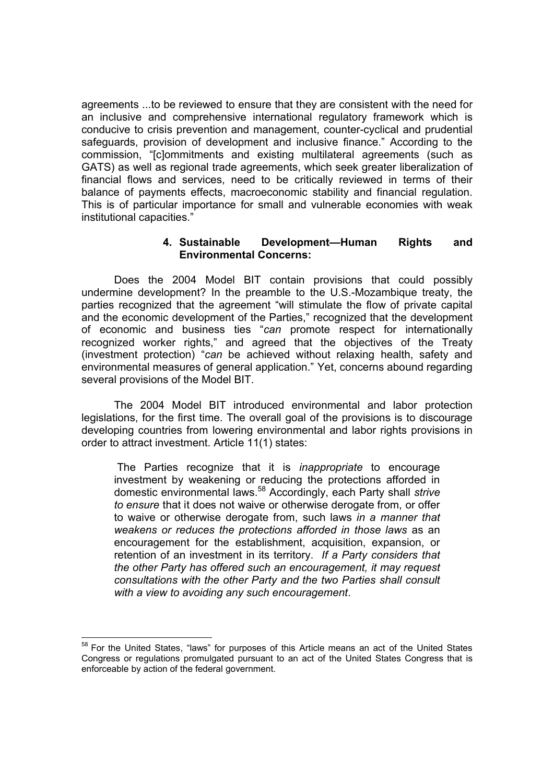agreements ...to be reviewed to ensure that they are consistent with the need for an inclusive and comprehensive international regulatory framework which is conducive to crisis prevention and management, counter-cyclical and prudential safeguards, provision of development and inclusive finance." According to the commission, "[c]ommitments and existing multilateral agreements (such as GATS) as well as regional trade agreements, which seek greater liberalization of financial flows and services, need to be critically reviewed in terms of their balance of payments effects, macroeconomic stability and financial regulation. This is of particular importance for small and vulnerable economies with weak institutional capacities."

## **4. Sustainable Development—Human Rights and Environmental Concerns:**

Does the 2004 Model BIT contain provisions that could possibly undermine development? In the preamble to the U.S.-Mozambique treaty, the parties recognized that the agreement "will stimulate the flow of private capital and the economic development of the Parties," recognized that the development of economic and business ties "*can* promote respect for internationally recognized worker rights," and agreed that the objectives of the Treaty (investment protection) "*can* be achieved without relaxing health, safety and environmental measures of general application." Yet, concerns abound regarding several provisions of the Model BIT.

The 2004 Model BIT introduced environmental and labor protection legislations, for the first time. The overall goal of the provisions is to discourage developing countries from lowering environmental and labor rights provisions in order to attract investment. Article 11(1) states:

The Parties recognize that it is *inappropriate* to encourage investment by weakening or reducing the protections afforded in domestic environmental laws.<sup>58</sup> Accordingly, each Party shall *strive to ensure* that it does not waive or otherwise derogate from, or offer to waive or otherwise derogate from, such laws *in a manner that weakens or reduces the protections afforded in those laws* as an encouragement for the establishment, acquisition, expansion, or retention of an investment in its territory. *If a Party considers that the other Party has offered such an encouragement, it may request consultations with the other Party and the two Parties shall consult with a view to avoiding any such encouragement*.

<sup>-</sup><sup>58</sup> For the United States, "laws" for purposes of this Article means an act of the United States Congress or regulations promulgated pursuant to an act of the United States Congress that is enforceable by action of the federal government.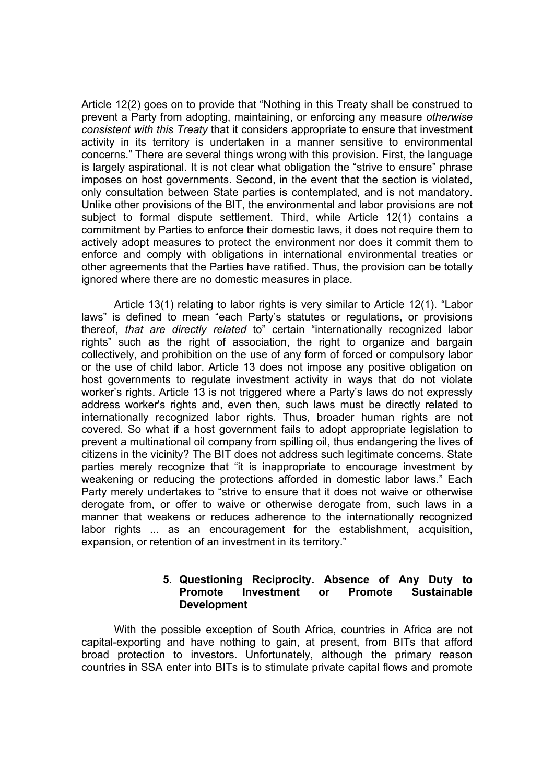Article 12(2) goes on to provide that "Nothing in this Treaty shall be construed to prevent a Party from adopting, maintaining, or enforcing any measure *otherwise consistent with this Treaty* that it considers appropriate to ensure that investment activity in its territory is undertaken in a manner sensitive to environmental concerns." There are several things wrong with this provision. First, the language is largely aspirational. It is not clear what obligation the "strive to ensure" phrase imposes on host governments. Second, in the event that the section is violated, only consultation between State parties is contemplated, and is not mandatory. Unlike other provisions of the BIT, the environmental and labor provisions are not subject to formal dispute settlement. Third, while Article 12(1) contains a commitment by Parties to enforce their domestic laws, it does not require them to actively adopt measures to protect the environment nor does it commit them to enforce and comply with obligations in international environmental treaties or other agreements that the Parties have ratified. Thus, the provision can be totally ignored where there are no domestic measures in place.

Article 13(1) relating to labor rights is very similar to Article 12(1). "Labor laws" is defined to mean "each Party's statutes or regulations, or provisions thereof, *that are directly related* to" certain "internationally recognized labor rights" such as the right of association, the right to organize and bargain collectively, and prohibition on the use of any form of forced or compulsory labor or the use of child labor. Article 13 does not impose any positive obligation on host governments to regulate investment activity in ways that do not violate worker's rights. Article 13 is not triggered where a Party's laws do not expressly address worker's rights and, even then, such laws must be directly related to internationally recognized labor rights. Thus, broader human rights are not covered. So what if a host government fails to adopt appropriate legislation to prevent a multinational oil company from spilling oil, thus endangering the lives of citizens in the vicinity? The BIT does not address such legitimate concerns. State parties merely recognize that "it is inappropriate to encourage investment by weakening or reducing the protections afforded in domestic labor laws." Each Party merely undertakes to "strive to ensure that it does not waive or otherwise derogate from, or offer to waive or otherwise derogate from, such laws in a manner that weakens or reduces adherence to the internationally recognized labor rights ... as an encouragement for the establishment, acquisition, expansion, or retention of an investment in its territory."

#### **5. Questioning Reciprocity. Absence of Any Duty to Promote Investment or Promote Sustainable Development**

With the possible exception of South Africa, countries in Africa are not capital-exporting and have nothing to gain, at present, from BITs that afford broad protection to investors. Unfortunately, although the primary reason countries in SSA enter into BITs is to stimulate private capital flows and promote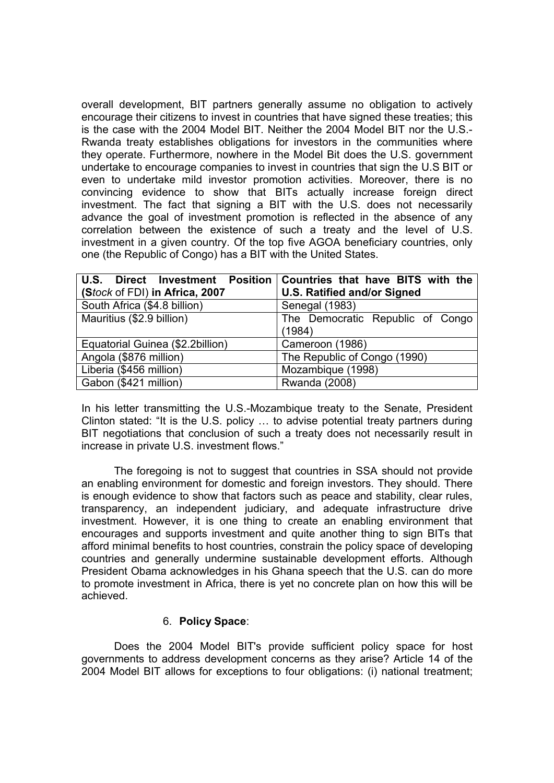overall development, BIT partners generally assume no obligation to actively encourage their citizens to invest in countries that have signed these treaties; this is the case with the 2004 Model BIT. Neither the 2004 Model BIT nor the U.S.- Rwanda treaty establishes obligations for investors in the communities where they operate. Furthermore, nowhere in the Model Bit does the U.S. government undertake to encourage companies to invest in countries that sign the U.S BIT or even to undertake mild investor promotion activities. Moreover, there is no convincing evidence to show that BITs actually increase foreign direct investment. The fact that signing a BIT with the U.S. does not necessarily advance the goal of investment promotion is reflected in the absence of any correlation between the existence of such a treaty and the level of U.S. investment in a given country. Of the top five AGOA beneficiary countries, only one (the Republic of Congo) has a BIT with the United States.

| U.S. Direct Investment Position   Countries that have BITS with the |                                    |
|---------------------------------------------------------------------|------------------------------------|
| (Stock of FDI) in Africa, 2007                                      | <b>U.S. Ratified and/or Signed</b> |
| South Africa (\$4.8 billion)                                        | Senegal (1983)                     |
| Mauritius (\$2.9 billion)                                           | The Democratic Republic of Congo   |
|                                                                     | (1984)                             |
| Equatorial Guinea (\$2.2billion)                                    | Cameroon (1986)                    |
| Angola (\$876 million)                                              | The Republic of Congo (1990)       |
| Liberia (\$456 million)                                             | Mozambique (1998)                  |
| Gabon (\$421 million)                                               | Rwanda (2008)                      |

In his letter transmitting the U.S.-Mozambique treaty to the Senate, President Clinton stated: "It is the U.S. policy … to advise potential treaty partners during BIT negotiations that conclusion of such a treaty does not necessarily result in increase in private U.S. investment flows."

The foregoing is not to suggest that countries in SSA should not provide an enabling environment for domestic and foreign investors. They should. There is enough evidence to show that factors such as peace and stability, clear rules, transparency, an independent judiciary, and adequate infrastructure drive investment. However, it is one thing to create an enabling environment that encourages and supports investment and quite another thing to sign BITs that afford minimal benefits to host countries, constrain the policy space of developing countries and generally undermine sustainable development efforts. Although President Obama acknowledges in his Ghana speech that the U.S. can do more to promote investment in Africa, there is yet no concrete plan on how this will be achieved.

#### 6. **Policy Space**:

Does the 2004 Model BIT's provide sufficient policy space for host governments to address development concerns as they arise? Article 14 of the 2004 Model BIT allows for exceptions to four obligations: (i) national treatment;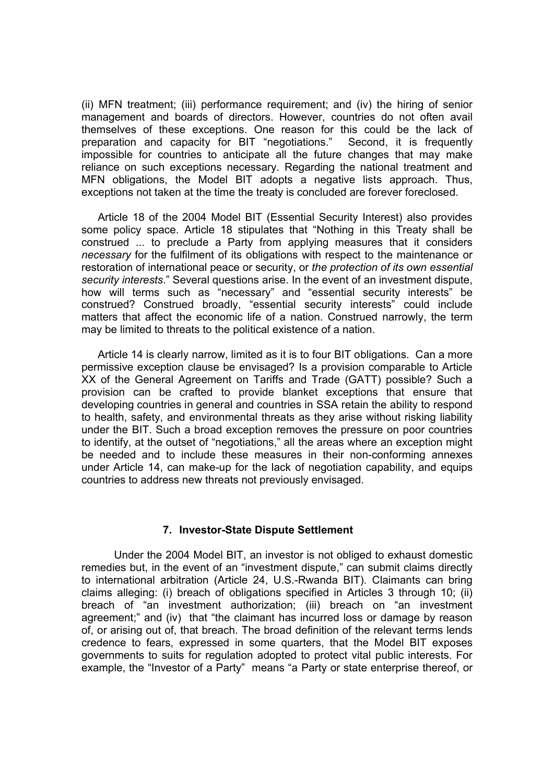(ii) MFN treatment; (iii) performance requirement; and (iv) the hiring of senior management and boards of directors. However, countries do not often avail themselves of these exceptions. One reason for this could be the lack of preparation and capacity for BIT "negotiations." Second, it is frequently impossible for countries to anticipate all the future changes that may make reliance on such exceptions necessary. Regarding the national treatment and MFN obligations, the Model BIT adopts a negative lists approach. Thus, exceptions not taken at the time the treaty is concluded are forever foreclosed.

Article 18 of the 2004 Model BIT (Essential Security Interest) also provides some policy space. Article 18 stipulates that "Nothing in this Treaty shall be construed ... to preclude a Party from applying measures that it considers *necessary* for the fulfilment of its obligations with respect to the maintenance or restoration of international peace or security, or *the protection of its own essential security interests*." Several questions arise. In the event of an investment dispute, how will terms such as "necessary" and "essential security interests" be construed? Construed broadly, "essential security interests" could include matters that affect the economic life of a nation. Construed narrowly, the term may be limited to threats to the political existence of a nation.

Article 14 is clearly narrow, limited as it is to four BIT obligations. Can a more permissive exception clause be envisaged? Is a provision comparable to Article XX of the General Agreement on Tariffs and Trade (GATT) possible? Such a provision can be crafted to provide blanket exceptions that ensure that developing countries in general and countries in SSA retain the ability to respond to health, safety, and environmental threats as they arise without risking liability under the BIT. Such a broad exception removes the pressure on poor countries to identify, at the outset of "negotiations," all the areas where an exception might be needed and to include these measures in their non-conforming annexes under Article 14, can make-up for the lack of negotiation capability, and equips countries to address new threats not previously envisaged.

#### **7. Investor-State Dispute Settlement**

Under the 2004 Model BIT, an investor is not obliged to exhaust domestic remedies but, in the event of an "investment dispute," can submit claims directly to international arbitration (Article 24, U.S.-Rwanda BIT). Claimants can bring claims alleging: (i) breach of obligations specified in Articles 3 through 10; (ii) breach of "an investment authorization; (iii) breach on "an investment agreement;" and (iv) that "the claimant has incurred loss or damage by reason of, or arising out of, that breach. The broad definition of the relevant terms lends credence to fears, expressed in some quarters, that the Model BIT exposes governments to suits for regulation adopted to protect vital public interests. For example, the "Investor of a Party" means "a Party or state enterprise thereof, or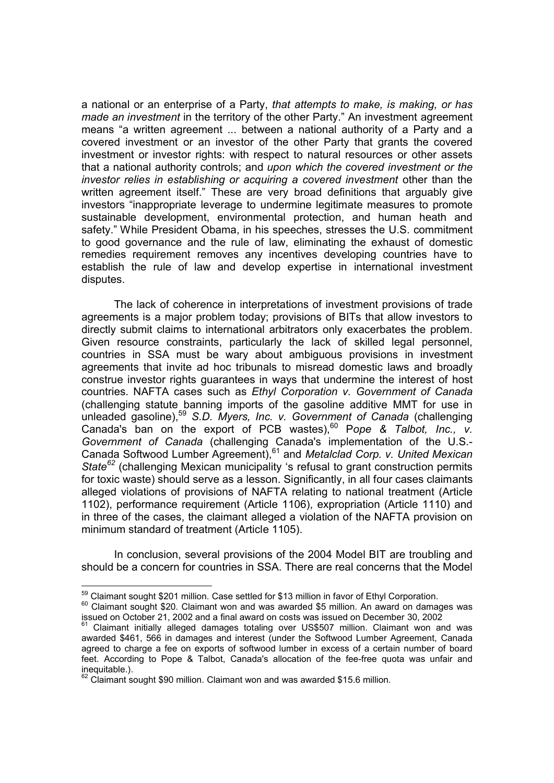a national or an enterprise of a Party, *that attempts to make, is making, or has made an investment* in the territory of the other Party." An investment agreement means "a written agreement ... between a national authority of a Party and a covered investment or an investor of the other Party that grants the covered investment or investor rights: with respect to natural resources or other assets that a national authority controls; and *upon which the covered investment or the investor relies in establishing or acquiring a covered investment* other than the written agreement itself." These are very broad definitions that arguably give investors "inappropriate leverage to undermine legitimate measures to promote sustainable development, environmental protection, and human heath and safety." While President Obama, in his speeches, stresses the U.S. commitment to good governance and the rule of law, eliminating the exhaust of domestic remedies requirement removes any incentives developing countries have to establish the rule of law and develop expertise in international investment disputes.

The lack of coherence in interpretations of investment provisions of trade agreements is a major problem today; provisions of BITs that allow investors to directly submit claims to international arbitrators only exacerbates the problem. Given resource constraints, particularly the lack of skilled legal personnel, countries in SSA must be wary about ambiguous provisions in investment agreements that invite ad hoc tribunals to misread domestic laws and broadly construe investor rights guarantees in ways that undermine the interest of host countries. NAFTA cases such as *Ethyl Corporation v. Government of Canada* (challenging statute banning imports of the gasoline additive MMT for use in unleaded gasoline),<sup>59</sup> *S.D. Myers, Inc. v. Government of Canada* (challenging Canada's ban on the export of PCB wastes),<sup>60</sup> Pope & Talbot, Inc., v. *Government of Canada* (challenging Canada's implementation of the U.S.- Canada Softwood Lumber Agreement),<sup>61</sup> and *Metalclad Corp. v. United Mexican State<sup>62</sup>* (challenging Mexican municipality 's refusal to grant construction permits for toxic waste) should serve as a lesson. Significantly, in all four cases claimants alleged violations of provisions of NAFTA relating to national treatment (Article 1102), performance requirement (Article 1106), expropriation (Article 1110) and in three of the cases, the claimant alleged a violation of the NAFTA provision on minimum standard of treatment (Article 1105).

In conclusion, several provisions of the 2004 Model BIT are troubling and should be a concern for countries in SSA. There are real concerns that the Model

 $59$  Claimant sought \$201 million. Case settled for \$13 million in favor of Ethyl Corporation.<br><sup>60</sup> Claimant sought \$20. Claimant won and was awarded \$5 million. An award on damages was issued on October 21, 2002 and a final award on costs was issued on December 30, 2002

<sup>61</sup> Claimant initially alleged damages totaling over US\$507 million. Claimant won and was awarded \$461, 566 in damages and interest (under the Softwood Lumber Agreement, Canada agreed to charge a fee on exports of softwood lumber in excess of a certain number of board feet. According to Pope & Talbot, Canada's allocation of the fee-free quota was unfair and  $inequitable.$ ).

 $^2$  Claimant sought \$90 million. Claimant won and was awarded \$15.6 million.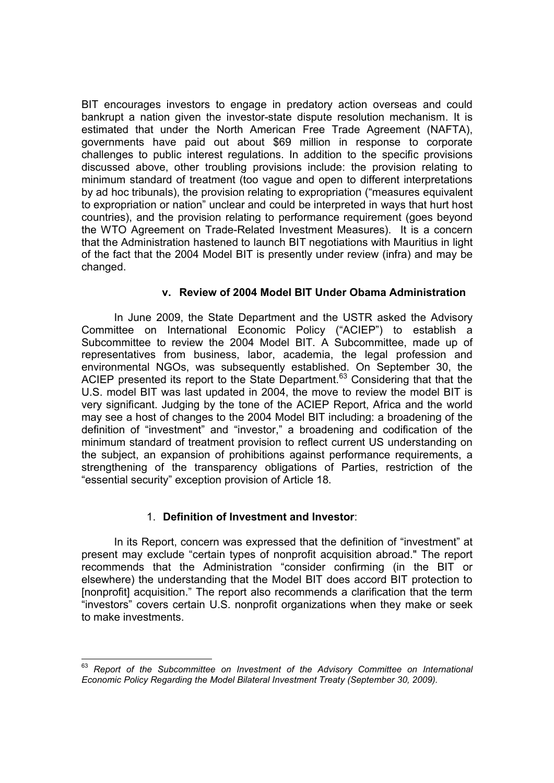BIT encourages investors to engage in predatory action overseas and could bankrupt a nation given the investor-state dispute resolution mechanism. It is estimated that under the North American Free Trade Agreement (NAFTA), governments have paid out about \$69 million in response to corporate challenges to public interest regulations. In addition to the specific provisions discussed above, other troubling provisions include: the provision relating to minimum standard of treatment (too vague and open to different interpretations by ad hoc tribunals), the provision relating to expropriation ("measures equivalent to expropriation or nation" unclear and could be interpreted in ways that hurt host countries), and the provision relating to performance requirement (goes beyond the WTO Agreement on Trade-Related Investment Measures). It is a concern that the Administration hastened to launch BIT negotiations with Mauritius in light of the fact that the 2004 Model BIT is presently under review (infra) and may be changed.

## **v. Review of 2004 Model BIT Under Obama Administration**

In June 2009, the State Department and the USTR asked the Advisory Committee on International Economic Policy ("ACIEP") to establish a Subcommittee to review the 2004 Model BIT. A Subcommittee, made up of representatives from business, labor, academia, the legal profession and environmental NGOs, was subsequently established. On September 30, the ACIEP presented its report to the State Department.<sup>63</sup> Considering that that the U.S. model BIT was last updated in 2004, the move to review the model BIT is very significant. Judging by the tone of the ACIEP Report, Africa and the world may see a host of changes to the 2004 Model BIT including: a broadening of the definition of "investment" and "investor," a broadening and codification of the minimum standard of treatment provision to reflect current US understanding on the subject, an expansion of prohibitions against performance requirements, a strengthening of the transparency obligations of Parties, restriction of the "essential security" exception provision of Article 18.

# 1. **Definition of Investment and Investor**:

In its Report, concern was expressed that the definition of "investment" at present may exclude "certain types of nonprofit acquisition abroad." The report recommends that the Administration "consider confirming (in the BIT or elsewhere) the understanding that the Model BIT does accord BIT protection to [nonprofit] acquisition." The report also recommends a clarification that the term "investors" covers certain U.S. nonprofit organizations when they make or seek to make investments.

<sup>63</sup> *Report of the Subcommittee on Investment of the Advisory Committee on International Economic Policy Regarding the Model Bilateral Investment Treaty (September 30, 2009).*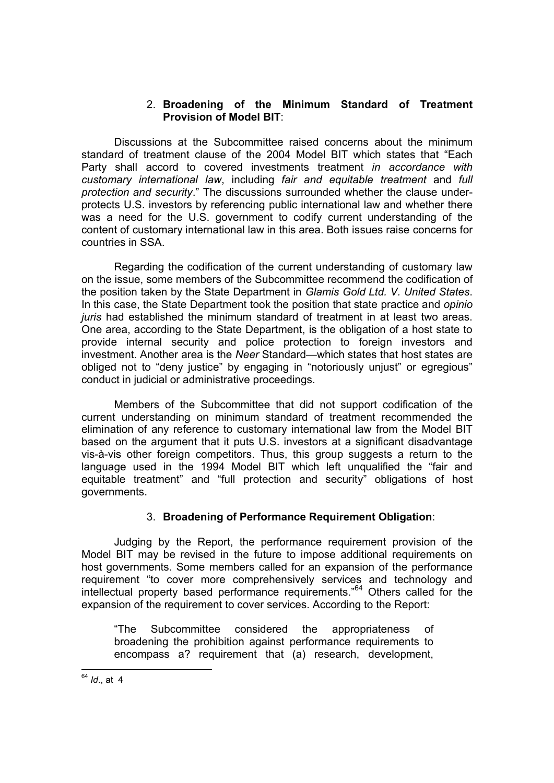## 2. **Broadening of the Minimum Standard of Treatment Provision of Model BIT**:

Discussions at the Subcommittee raised concerns about the minimum standard of treatment clause of the 2004 Model BIT which states that "Each Party shall accord to covered investments treatment *in accordance with customary international law*, including *fair and equitable treatment* and *full protection and security*." The discussions surrounded whether the clause underprotects U.S. investors by referencing public international law and whether there was a need for the U.S. government to codify current understanding of the content of customary international law in this area. Both issues raise concerns for countries in SSA.

Regarding the codification of the current understanding of customary law on the issue, some members of the Subcommittee recommend the codification of the position taken by the State Department in *Glamis Gold Ltd. V. United States*. In this case, the State Department took the position that state practice and *opinio juris* had established the minimum standard of treatment in at least two areas. One area, according to the State Department, is the obligation of a host state to provide internal security and police protection to foreign investors and investment. Another area is the *Neer* Standard—which states that host states are obliged not to "deny justice" by engaging in "notoriously unjust" or egregious" conduct in judicial or administrative proceedings.

Members of the Subcommittee that did not support codification of the current understanding on minimum standard of treatment recommended the elimination of any reference to customary international law from the Model BIT based on the argument that it puts U.S. investors at a significant disadvantage vis-à-vis other foreign competitors. Thus, this group suggests a return to the language used in the 1994 Model BIT which left unqualified the "fair and equitable treatment" and "full protection and security" obligations of host governments.

# 3. **Broadening of Performance Requirement Obligation**:

Judging by the Report, the performance requirement provision of the Model BIT may be revised in the future to impose additional requirements on host governments. Some members called for an expansion of the performance requirement "to cover more comprehensively services and technology and intellectual property based performance requirements."64 Others called for the expansion of the requirement to cover services. According to the Report:

"The Subcommittee considered the appropriateness of broadening the prohibition against performance requirements to encompass a? requirement that (a) research, development,

<sup>-</sup><sup>64</sup> *Id*., at 4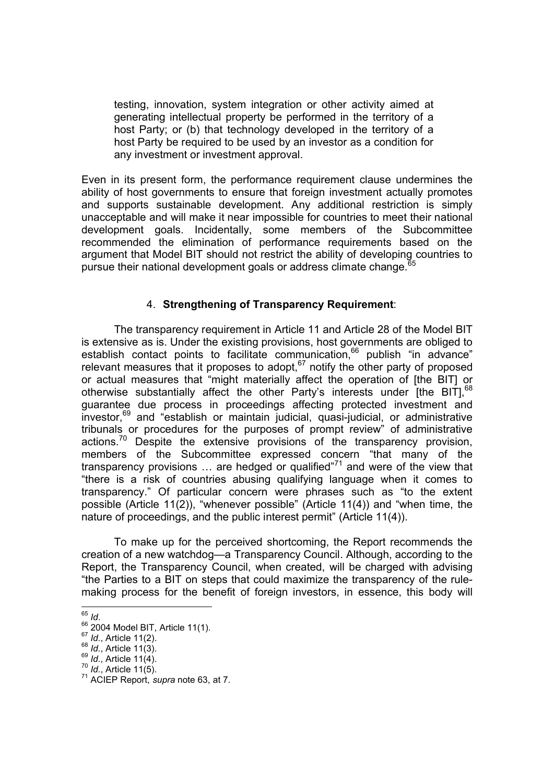testing, innovation, system integration or other activity aimed at generating intellectual property be performed in the territory of a host Party; or (b) that technology developed in the territory of a host Party be required to be used by an investor as a condition for any investment or investment approval.

Even in its present form, the performance requirement clause undermines the ability of host governments to ensure that foreign investment actually promotes and supports sustainable development. Any additional restriction is simply unacceptable and will make it near impossible for countries to meet their national development goals. Incidentally, some members of the Subcommittee recommended the elimination of performance requirements based on the argument that Model BIT should not restrict the ability of developing countries to pursue their national development goals or address climate change.<sup>6</sup>

# 4. **Strengthening of Transparency Requirement**:

The transparency requirement in Article 11 and Article 28 of the Model BIT is extensive as is. Under the existing provisions, host governments are obliged to establish contact points to facilitate communication,<sup>66</sup> publish "in advance" relevant measures that it proposes to adopt, $67$  notify the other party of proposed or actual measures that "might materially affect the operation of [the BIT] or otherwise substantially affect the other Party's interests under [the BIT], 68 guarantee due process in proceedings affecting protected investment and investor,<sup>69</sup> and "establish or maintain judicial, quasi-judicial, or administrative tribunals or procedures for the purposes of prompt review" of administrative actions.<sup>70</sup> Despite the extensive provisions of the transparency provision, members of the Subcommittee expressed concern "that many of the transparency provisions  $\ldots$  are hedged or qualified"<sup>71</sup> and were of the view that "there is a risk of countries abusing qualifying language when it comes to transparency." Of particular concern were phrases such as "to the extent possible (Article 11(2)), "whenever possible" (Article 11(4)) and "when time, the nature of proceedings, and the public interest permit" (Article 11(4)).

To make up for the perceived shortcoming, the Report recommends the creation of a new watchdog—a Transparency Council. Although, according to the Report, the Transparency Council, when created, will be charged with advising "the Parties to a BIT on steps that could maximize the transparency of the rulemaking process for the benefit of foreign investors, in essence, this body will

 $65$  *Id.* 

<sup>&</sup>lt;sup>66</sup> <sup>66</sup> *Id.*, Article 11(2).<br><sup>67</sup> *Id.*, Article 11(2).<br><sup>68</sup> *Id.*, Article 11(3).<br><sup>69</sup> *Id.*, Article 11(4).<br><sup>70</sup> *Id.*, Article 11(5).<br><sup>71</sup> ACIEP Report, *supra* note 63, at 7.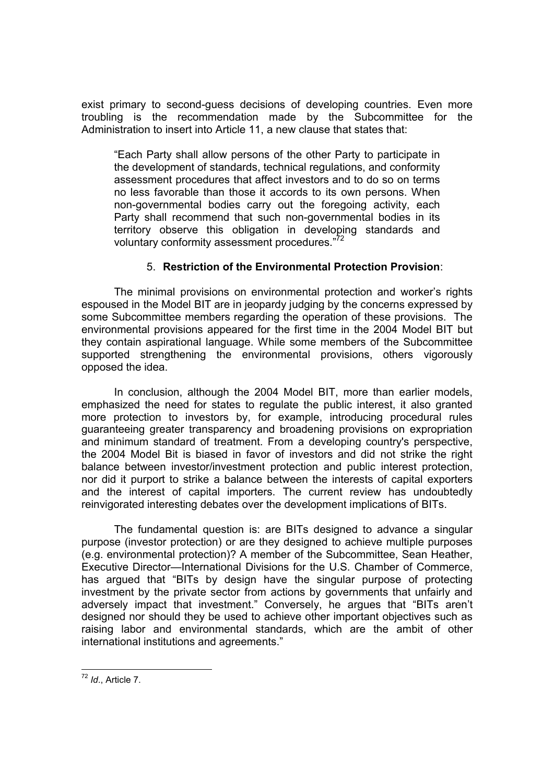exist primary to second-guess decisions of developing countries. Even more troubling is the recommendation made by the Subcommittee for the Administration to insert into Article 11, a new clause that states that:

"Each Party shall allow persons of the other Party to participate in the development of standards, technical regulations, and conformity assessment procedures that affect investors and to do so on terms no less favorable than those it accords to its own persons. When non-governmental bodies carry out the foregoing activity, each Party shall recommend that such non-governmental bodies in its territory observe this obligation in developing standards and voluntary conformity assessment procedures."<sup>72</sup>

## 5. **Restriction of the Environmental Protection Provision**:

The minimal provisions on environmental protection and worker's rights espoused in the Model BIT are in jeopardy judging by the concerns expressed by some Subcommittee members regarding the operation of these provisions. The environmental provisions appeared for the first time in the 2004 Model BIT but they contain aspirational language. While some members of the Subcommittee supported strengthening the environmental provisions, others vigorously opposed the idea.

In conclusion, although the 2004 Model BIT, more than earlier models, emphasized the need for states to regulate the public interest, it also granted more protection to investors by, for example, introducing procedural rules guaranteeing greater transparency and broadening provisions on expropriation and minimum standard of treatment. From a developing country's perspective, the 2004 Model Bit is biased in favor of investors and did not strike the right balance between investor/investment protection and public interest protection, nor did it purport to strike a balance between the interests of capital exporters and the interest of capital importers. The current review has undoubtedly reinvigorated interesting debates over the development implications of BITs.

The fundamental question is: are BITs designed to advance a singular purpose (investor protection) or are they designed to achieve multiple purposes (e.g. environmental protection)? A member of the Subcommittee, Sean Heather, Executive Director—International Divisions for the U.S. Chamber of Commerce, has argued that "BITs by design have the singular purpose of protecting investment by the private sector from actions by governments that unfairly and adversely impact that investment." Conversely, he argues that "BITs aren't designed nor should they be used to achieve other important objectives such as raising labor and environmental standards, which are the ambit of other international institutions and agreements."

<sup>-</sup><sup>72</sup> *Id*., Article 7.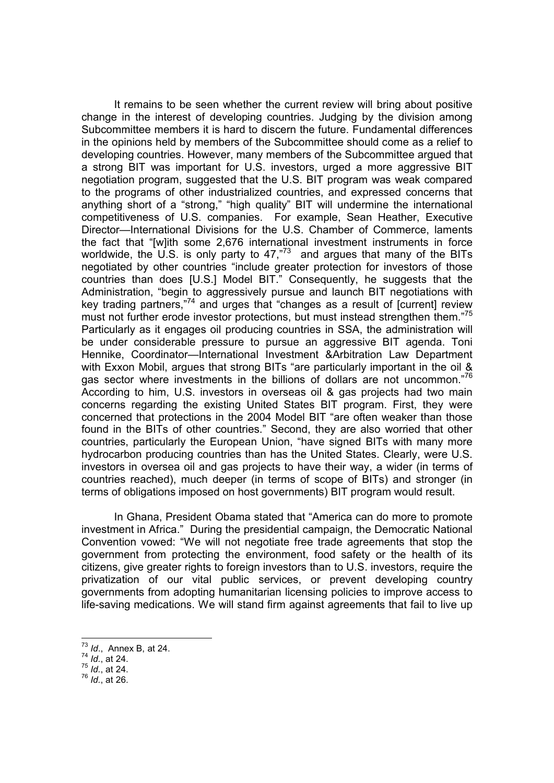It remains to be seen whether the current review will bring about positive change in the interest of developing countries. Judging by the division among Subcommittee members it is hard to discern the future. Fundamental differences in the opinions held by members of the Subcommittee should come as a relief to developing countries. However, many members of the Subcommittee argued that a strong BIT was important for U.S. investors, urged a more aggressive BIT negotiation program, suggested that the U.S. BIT program was weak compared to the programs of other industrialized countries, and expressed concerns that anything short of a "strong," "high quality" BIT will undermine the international competitiveness of U.S. companies. For example, Sean Heather, Executive Director—International Divisions for the U.S. Chamber of Commerce, laments the fact that "[w]ith some 2,676 international investment instruments in force worldwide, the U.S. is only party to 47,"<sup>73</sup> and argues that many of the BITs negotiated by other countries "include greater protection for investors of those countries than does [U.S.] Model BIT." Consequently, he suggests that the Administration, "begin to aggressively pursue and launch BIT negotiations with key trading partners,"74 and urges that "changes as a result of [current] review must not further erode investor protections, but must instead strengthen them."<sup>75</sup> Particularly as it engages oil producing countries in SSA, the administration will be under considerable pressure to pursue an aggressive BIT agenda. Toni Hennike, Coordinator—International Investment &Arbitration Law Department with Exxon Mobil, argues that strong BITs "are particularly important in the oil & gas sector where investments in the billions of dollars are not uncommon."76 According to him, U.S. investors in overseas oil & gas projects had two main concerns regarding the existing United States BIT program. First, they were concerned that protections in the 2004 Model BIT "are often weaker than those found in the BITs of other countries." Second, they are also worried that other countries, particularly the European Union, "have signed BITs with many more hydrocarbon producing countries than has the United States. Clearly, were U.S. investors in oversea oil and gas projects to have their way, a wider (in terms of countries reached), much deeper (in terms of scope of BITs) and stronger (in terms of obligations imposed on host governments) BIT program would result.

In Ghana, President Obama stated that "America can do more to promote investment in Africa." During the presidential campaign, the Democratic National Convention vowed: "We will not negotiate free trade agreements that stop the government from protecting the environment, food safety or the health of its citizens, give greater rights to foreign investors than to U.S. investors, require the privatization of our vital public services, or prevent developing country governments from adopting humanitarian licensing policies to improve access to life-saving medications. We will stand firm against agreements that fail to live up

1

<sup>73</sup> *Id*., Annex B, at 24.

<sup>74</sup> *Id.*, at 24.

 $^{75}$  *Id.*, at  $24$ .

<sup>76</sup> *Id.*, at 26.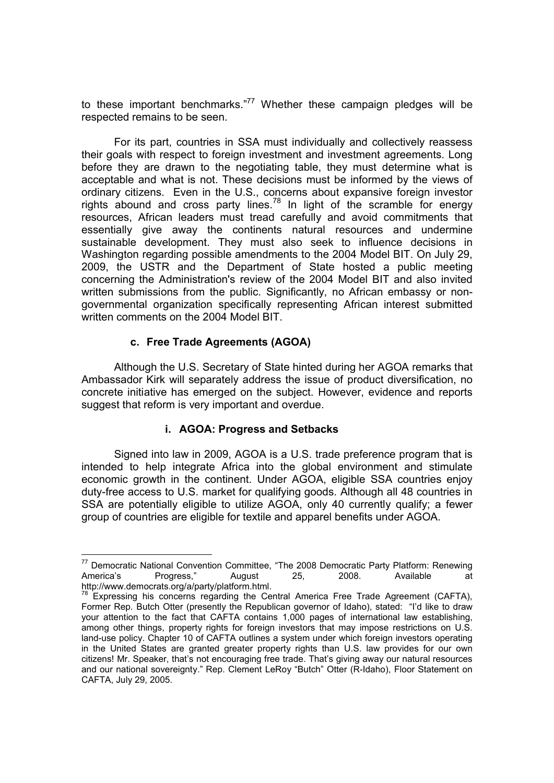to these important benchmarks."<sup>77</sup> Whether these campaign pledges will be respected remains to be seen.

For its part, countries in SSA must individually and collectively reassess their goals with respect to foreign investment and investment agreements. Long before they are drawn to the negotiating table, they must determine what is acceptable and what is not. These decisions must be informed by the views of ordinary citizens. Even in the U.S., concerns about expansive foreign investor rights abound and cross party lines.<sup>78</sup> In light of the scramble for energy resources, African leaders must tread carefully and avoid commitments that essentially give away the continents natural resources and undermine sustainable development. They must also seek to influence decisions in Washington regarding possible amendments to the 2004 Model BIT. On July 29, 2009, the USTR and the Department of State hosted a public meeting concerning the Administration's review of the 2004 Model BIT and also invited written submissions from the public. Significantly, no African embassy or nongovernmental organization specifically representing African interest submitted written comments on the 2004 Model BIT.

# **c. Free Trade Agreements (AGOA)**

 $\overline{a}$ 

Although the U.S. Secretary of State hinted during her AGOA remarks that Ambassador Kirk will separately address the issue of product diversification, no concrete initiative has emerged on the subject. However, evidence and reports suggest that reform is very important and overdue.

#### **i. AGOA: Progress and Setbacks**

Signed into law in 2009, AGOA is a U.S. trade preference program that is intended to help integrate Africa into the global environment and stimulate economic growth in the continent. Under AGOA, eligible SSA countries enjoy duty-free access to U.S. market for qualifying goods. Although all 48 countries in SSA are potentially eligible to utilize AGOA, only 40 currently qualify; a fewer group of countries are eligible for textile and apparel benefits under AGOA.

<sup>77</sup> Democratic National Convention Committee, "The 2008 Democratic Party Platform: Renewing America's Progress," August 25, 2008. Available at http://www.democrats.org/a/party/platform.html.

 $78$  Expressing his concerns regarding the Central America Free Trade Agreement (CAFTA), Former Rep. Butch Otter (presently the Republican governor of Idaho), stated: "I'd like to draw your attention to the fact that CAFTA contains 1,000 pages of international law establishing, among other things, property rights for foreign investors that may impose restrictions on U.S. land-use policy. Chapter 10 of CAFTA outlines a system under which foreign investors operating in the United States are granted greater property rights than U.S. law provides for our own citizens! Mr. Speaker, that's not encouraging free trade. That's giving away our natural resources and our national sovereignty." Rep. Clement LeRoy "Butch" Otter (R-Idaho), Floor Statement on CAFTA, July 29, 2005.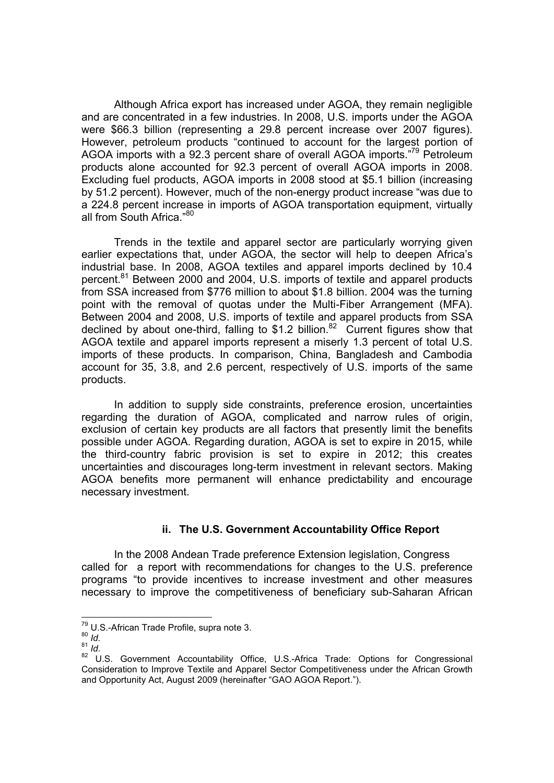Although Africa export has increased under AGOA, they remain negligible and are concentrated in a few industries. In 2008, U.S. imports under the AGOA were \$66.3 billion (representing a 29.8 percent increase over 2007 figures). However, petroleum products "continued to account for the largest portion of AGOA imports with a 92.3 percent share of overall AGOA imports."79 Petroleum products alone accounted for 92.3 percent of overall AGOA imports in 2008. Excluding fuel products, AGOA imports in 2008 stood at \$5.1 billion (increasing by 51.2 percent). However, much of the non-energy product increase "was due to a 224.8 percent increase in imports of AGOA transportation equipment, virtually all from South Africa."80

Trends in the textile and apparel sector are particularly worrying given earlier expectations that, under AGOA, the sector will help to deepen Africa's industrial base. In 2008, AGOA textiles and apparel imports declined by 10.4 percent.<sup>81</sup> Between 2000 and 2004, U.S. imports of textile and apparel products from SSA increased from \$776 million to about \$1.8 billion. 2004 was the turning point with the removal of quotas under the Multi-Fiber Arrangement (MFA). Between 2004 and 2008, U.S. imports of textile and apparel products from SSA declined by about one-third, falling to \$1.2 billion.<sup>82</sup> Current figures show that AGOA textile and apparel imports represent a miserly 1.3 percent of total U.S. imports of these products. In comparison, China, Bangladesh and Cambodia account for 35, 3.8, and 2.6 percent, respectively of U.S. imports of the same products.

In addition to supply side constraints, preference erosion, uncertainties regarding the duration of AGOA, complicated and narrow rules of origin, exclusion of certain key products are all factors that presently limit the benefits possible under AGOA. Regarding duration, AGOA is set to expire in 2015, while the third-country fabric provision is set to expire in 2012; this creates uncertainties and discourages long-term investment in relevant sectors. Making AGOA benefits more permanent will enhance predictability and encourage necessary investment.

# **ii. The U.S. Government Accountability Office Report**

In the 2008 Andean Trade preference Extension legislation, Congress called for a report with recommendations for changes to the U.S. preference programs "to provide incentives to increase investment and other measures necessary to improve the competitiveness of beneficiary sub-Saharan African

<sup>&</sup>lt;sup>79</sup> U.S.-African Trade Profile, supra note 3.<br><sup>80</sup> *Id.* 

 $\frac{80}{81}$  *Id.*<br> $\frac{1}{4}$  *Id.* 

<sup>82</sup> U.S. Government Accountability Office, U.S.-Africa Trade: Options for Congressional Consideration to Improve Textile and Apparel Sector Competitiveness under the African Growth and Opportunity Act, August 2009 (hereinafter "GAO AGOA Report.").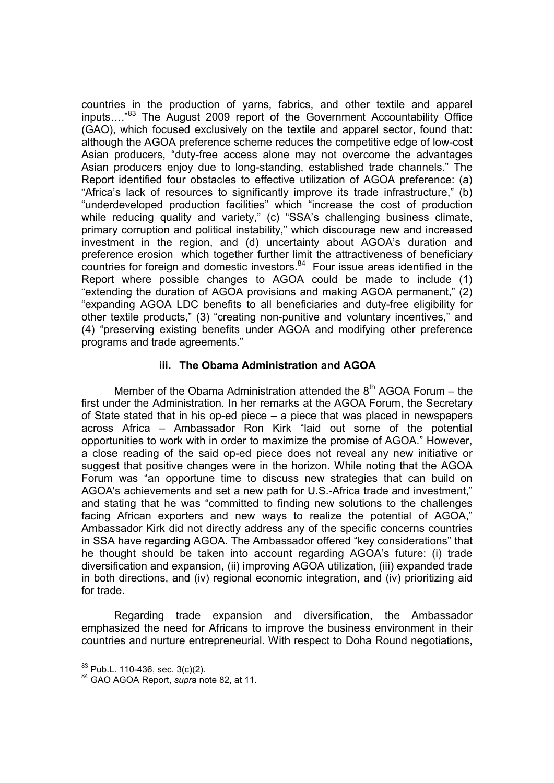countries in the production of yarns, fabrics, and other textile and apparel inputs…."<sup>83</sup> The August 2009 report of the Government Accountability Office (GAO), which focused exclusively on the textile and apparel sector, found that: although the AGOA preference scheme reduces the competitive edge of low-cost Asian producers, "duty-free access alone may not overcome the advantages Asian producers enjoy due to long-standing, established trade channels." The Report identified four obstacles to effective utilization of AGOA preference: (a) "Africa's lack of resources to significantly improve its trade infrastructure," (b) "underdeveloped production facilities" which "increase the cost of production while reducing quality and variety," (c) "SSA's challenging business climate, primary corruption and political instability," which discourage new and increased investment in the region, and (d) uncertainty about AGOA's duration and preference erosion which together further limit the attractiveness of beneficiary countries for foreign and domestic investors. $84$  Four issue areas identified in the Report where possible changes to AGOA could be made to include (1) "extending the duration of AGOA provisions and making AGOA permanent," (2) "expanding AGOA LDC benefits to all beneficiaries and duty-free eligibility for other textile products," (3) "creating non-punitive and voluntary incentives," and (4) "preserving existing benefits under AGOA and modifying other preference programs and trade agreements."

## **iii. The Obama Administration and AGOA**

Member of the Obama Administration attended the  $8<sup>th</sup>$  AGOA Forum – the first under the Administration. In her remarks at the AGOA Forum, the Secretary of State stated that in his op-ed piece – a piece that was placed in newspapers across Africa – Ambassador Ron Kirk "laid out some of the potential opportunities to work with in order to maximize the promise of AGOA." However, a close reading of the said op-ed piece does not reveal any new initiative or suggest that positive changes were in the horizon. While noting that the AGOA Forum was "an opportune time to discuss new strategies that can build on AGOA's achievements and set a new path for U.S.-Africa trade and investment," and stating that he was "committed to finding new solutions to the challenges facing African exporters and new ways to realize the potential of AGOA," Ambassador Kirk did not directly address any of the specific concerns countries in SSA have regarding AGOA. The Ambassador offered "key considerations" that he thought should be taken into account regarding AGOA's future: (i) trade diversification and expansion, (ii) improving AGOA utilization, (iii) expanded trade in both directions, and (iv) regional economic integration, and (iv) prioritizing aid for trade.

Regarding trade expansion and diversification, the Ambassador emphasized the need for Africans to improve the business environment in their countries and nurture entrepreneurial. With respect to Doha Round negotiations,

<sup>&</sup>lt;sup>83</sup> Pub.L. 110-436, sec. 3(c)(2).

<sup>&</sup>lt;sup>84</sup> GAO AGOA Report, *supra* note 82, at 11.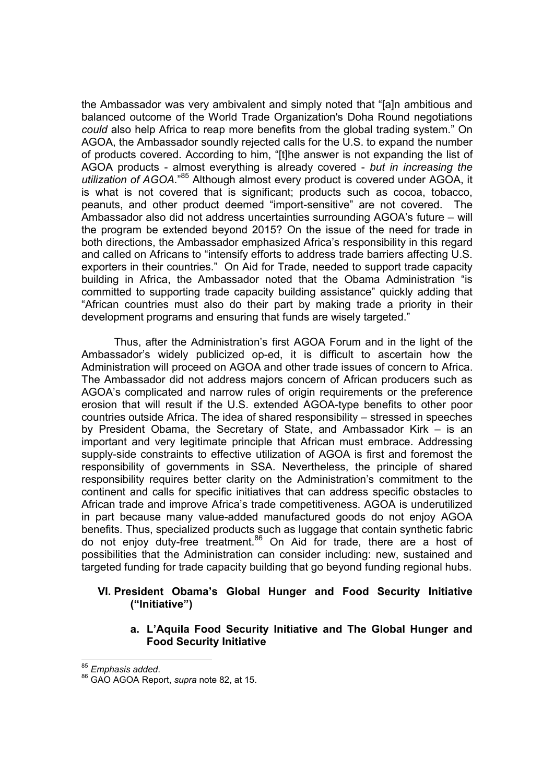the Ambassador was very ambivalent and simply noted that "[a]n ambitious and balanced outcome of the World Trade Organization's Doha Round negotiations *could* also help Africa to reap more benefits from the global trading system." On AGOA, the Ambassador soundly rejected calls for the U.S. to expand the number of products covered. According to him, "[t]he answer is not expanding the list of AGOA products - almost everything is already covered - *but in increasing the utilization of AGOA*."<sup>85</sup> Although almost every product is covered under AGOA, it is what is not covered that is significant; products such as cocoa, tobacco, peanuts, and other product deemed "import-sensitive" are not covered. The Ambassador also did not address uncertainties surrounding AGOA's future – will the program be extended beyond 2015? On the issue of the need for trade in both directions, the Ambassador emphasized Africa's responsibility in this regard and called on Africans to "intensify efforts to address trade barriers affecting U.S. exporters in their countries." On Aid for Trade, needed to support trade capacity building in Africa, the Ambassador noted that the Obama Administration "is committed to supporting trade capacity building assistance" quickly adding that "African countries must also do their part by making trade a priority in their development programs and ensuring that funds are wisely targeted."

Thus, after the Administration's first AGOA Forum and in the light of the Ambassador's widely publicized op-ed, it is difficult to ascertain how the Administration will proceed on AGOA and other trade issues of concern to Africa. The Ambassador did not address majors concern of African producers such as AGOA's complicated and narrow rules of origin requirements or the preference erosion that will result if the U.S. extended AGOA-type benefits to other poor countries outside Africa. The idea of shared responsibility – stressed in speeches by President Obama, the Secretary of State, and Ambassador Kirk – is an important and very legitimate principle that African must embrace. Addressing supply-side constraints to effective utilization of AGOA is first and foremost the responsibility of governments in SSA. Nevertheless, the principle of shared responsibility requires better clarity on the Administration's commitment to the continent and calls for specific initiatives that can address specific obstacles to African trade and improve Africa's trade competitiveness. AGOA is underutilized in part because many value-added manufactured goods do not enjoy AGOA benefits. Thus, specialized products such as luggage that contain synthetic fabric do not enjoy duty-free treatment.<sup>86</sup> On Aid for trade, there are a host of possibilities that the Administration can consider including: new, sustained and targeted funding for trade capacity building that go beyond funding regional hubs.

# **VI. President Obama's Global Hunger and Food Security Initiative ("Initiative")**

**a. L'Aquila Food Security Initiative and The Global Hunger and Food Security Initiative**

<sup>85</sup> Emphasis added.

<sup>85</sup> *Emphasis added*. <sup>86</sup> GAO AGOA Report, *supra* note 82, at 15.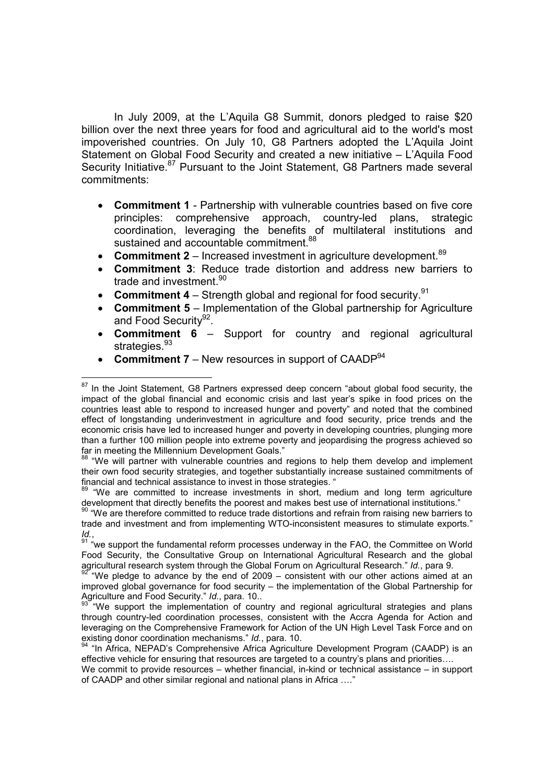In July 2009, at the L'Aquila G8 Summit, donors pledged to raise \$20 billion over the next three years for food and agricultural aid to the world's most impoverished countries. On July 10, G8 Partners adopted the L'Aquila Joint Statement on Global Food Security and created a new initiative – L'Aquila Food Security Initiative.<sup>87</sup> Pursuant to the Joint Statement, G8 Partners made several commitments:

- **Commitment 1** Partnership with vulnerable countries based on five core principles: comprehensive approach, country-led plans, strategic coordination, leveraging the benefits of multilateral institutions and sustained and accountable commitment.<sup>88</sup>
- **Commitment 2** Increased investment in agriculture development.<sup>89</sup>
- **Commitment 3**: Reduce trade distortion and address new barriers to trade and investment.<sup>90</sup>
- Commitment 4 Strength global and regional for food security.<sup>91</sup>
- **Commitment 5** Implementation of the Global partnership for Agriculture and Food Security<sup>92</sup>.
- **Commitment 6** Support for country and regional agricultural strategies.<sup>93</sup>
- **Commitment 7** New resources in support of CAADP<sup>94</sup>

 $87$  In the Joint Statement, G8 Partners expressed deep concern "about global food security, the impact of the global financial and economic crisis and last year's spike in food prices on the countries least able to respond to increased hunger and poverty" and noted that the combined effect of longstanding underinvestment in agriculture and food security, price trends and the economic crisis have led to increased hunger and poverty in developing countries, plunging more than a further 100 million people into extreme poverty and jeopardising the progress achieved so far in meeting the Millennium Development Goals."

 $8\text{ }\degree$  "We will partner with vulnerable countries and regions to help them develop and implement their own food security strategies, and together substantially increase sustained commitments of financial and technical assistance to invest in those strategies. "

<sup>&</sup>quot;We are committed to increase investments in short, medium and long term agriculture development that directly benefits the poorest and makes best use of international institutions."

<sup>&</sup>lt;sup>90</sup> "We are therefore committed to reduce trade distortions and refrain from raising new barriers to trade and investment and from implementing WTO-inconsistent measures to stimulate exports."

*Id.*,<br><sup>91</sup> "we support the fundamental reform processes underway in the FAO, the Committee on World Food Security, the Consultative Group on International Agricultural Research and the global agricultural research system through the Global Forum on Agricultural Research." Id., para 9.

<sup>&</sup>lt;sup>92</sup> "We pledge to advance by the end of 2009 – consistent with our other actions aimed at an improved global governance for food security – the implementation of the Global Partnership for Agriculture and Food Security."  $Id$ . para. 10.

<sup>&</sup>lt;sup>"</sup> We support the implementation of country and regional agricultural strategies and plans through country-led coordination processes, consistent with the Accra Agenda for Action and leveraging on the Comprehensive Framework for Action of the UN High Level Task Force and on<br>existing donor coordination mechanisms." *Id.*, para. 10.

<sup>&</sup>lt;sup>4</sup> "In Africa, NEPAD's Comprehensive Africa Agriculture Development Program (CAADP) is an effective vehicle for ensuring that resources are targeted to a country's plans and priorities….

We commit to provide resources – whether financial, in-kind or technical assistance – in support of CAADP and other similar regional and national plans in Africa …."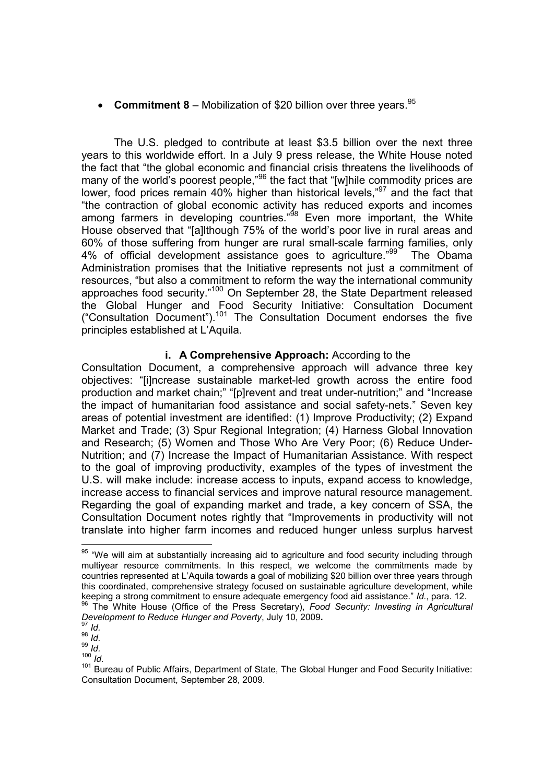# **Commitment 8** – Mobilization of \$20 billion over three years.<sup>95</sup>

The U.S. pledged to contribute at least \$3.5 billion over the next three years to this worldwide effort. In a July 9 press release, the White House noted the fact that "the global economic and financial crisis threatens the livelihoods of many of the world's poorest people,"<sup>96</sup> the fact that "[w]hile commodity prices are lower, food prices remain 40% higher than historical levels,"97 and the fact that "the contraction of global economic activity has reduced exports and incomes among farmers in developing countries." $98$  Even more important, the White House observed that "[a]lthough 75% of the world's poor live in rural areas and 60% of those suffering from hunger are rural small-scale farming families, only 4% of official development assistance goes to agriculture.<sup>"99</sup> The Obama Administration promises that the Initiative represents not just a commitment of resources, "but also a commitment to reform the way the international community approaches food security."<sup>100</sup> On September 28, the State Department released the Global Hunger and Food Security Initiative: Consultation Document ("Consultation Document").<sup>101</sup> The Consultation Document endorses the five principles established at L'Aquila.

#### **i. A Comprehensive Approach:** According to the

Consultation Document, a comprehensive approach will advance three key objectives: "[i]ncrease sustainable market-led growth across the entire food production and market chain;" "[p]revent and treat under-nutrition;" and "Increase the impact of humanitarian food assistance and social safety-nets." Seven key areas of potential investment are identified: (1) Improve Productivity; (2) Expand Market and Trade; (3) Spur Regional Integration; (4) Harness Global Innovation and Research; (5) Women and Those Who Are Very Poor; (6) Reduce Under-Nutrition; and (7) Increase the Impact of Humanitarian Assistance. With respect to the goal of improving productivity, examples of the types of investment the U.S. will make include: increase access to inputs, expand access to knowledge, increase access to financial services and improve natural resource management. Regarding the goal of expanding market and trade, a key concern of SSA, the Consultation Document notes rightly that "Improvements in productivity will not translate into higher farm incomes and reduced hunger unless surplus harvest

-

 $100^{14}$  *Id.* 

 $95$  "We will aim at substantially increasing aid to agriculture and food security including through multiyear resource commitments. In this respect, we welcome the commitments made by countries represented at L'Aquila towards a goal of mobilizing \$20 billion over three years through this coordinated, comprehensive strategy focused on sustainable agriculture development, while keeping a strong commitment to ensure adequate emergency food aid assistance."  $Id$ . para. 12. <sup>96</sup> The White House (Office of the Press Secretary), Food Security: Investing in Agricultural

*Development to Reduce Hunger and Poverty*, July 10, 2009**.** <sup>97</sup> *Id.*

 $\frac{1}{98}$  *Id.* 

 $\frac{99}{10}$ .

<sup>&</sup>lt;sup>101</sup> Bureau of Public Affairs, Department of State, The Global Hunger and Food Security Initiative: Consultation Document, September 28, 2009.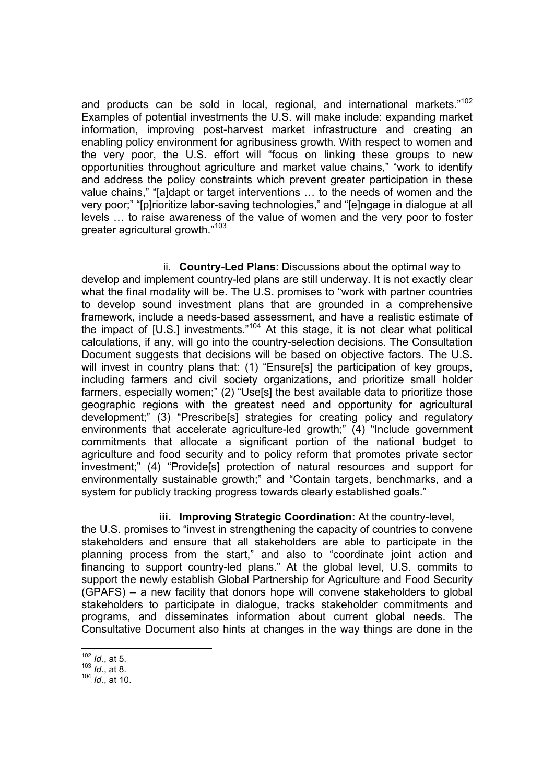and products can be sold in local, regional, and international markets."<sup>102</sup> Examples of potential investments the U.S. will make include: expanding market information, improving post-harvest market infrastructure and creating an enabling policy environment for agribusiness growth. With respect to women and the very poor, the U.S. effort will "focus on linking these groups to new opportunities throughout agriculture and market value chains," "work to identify and address the policy constraints which prevent greater participation in these value chains," "[a]dapt or target interventions … to the needs of women and the very poor;" "[p]rioritize labor-saving technologies," and "[e]ngage in dialogue at all levels … to raise awareness of the value of women and the very poor to foster greater agricultural growth."<sup>103</sup>

ii. **Country-Led Plans**: Discussions about the optimal way to develop and implement country-led plans are still underway. It is not exactly clear what the final modality will be. The U.S. promises to "work with partner countries to develop sound investment plans that are grounded in a comprehensive framework, include a needs-based assessment, and have a realistic estimate of the impact of [U.S.] investments."104 At this stage, it is not clear what political calculations, if any, will go into the country-selection decisions. The Consultation Document suggests that decisions will be based on objective factors. The U.S. will invest in country plans that: (1) "Ensure[s] the participation of key groups, including farmers and civil society organizations, and prioritize small holder farmers, especially women;" (2) "Use[s] the best available data to prioritize those geographic regions with the greatest need and opportunity for agricultural development;" (3) "Prescribe[s] strategies for creating policy and regulatory environments that accelerate agriculture-led growth;" (4) "Include government commitments that allocate a significant portion of the national budget to agriculture and food security and to policy reform that promotes private sector investment;" (4) "Provide[s] protection of natural resources and support for environmentally sustainable growth;" and "Contain targets, benchmarks, and a system for publicly tracking progress towards clearly established goals."

# **iii. Improving Strategic Coordination:** At the country-level,

the U.S. promises to "invest in strengthening the capacity of countries to convene stakeholders and ensure that all stakeholders are able to participate in the planning process from the start," and also to "coordinate joint action and financing to support country-led plans." At the global level, U.S. commits to support the newly establish Global Partnership for Agriculture and Food Security (GPAFS) – a new facility that donors hope will convene stakeholders to global stakeholders to participate in dialogue, tracks stakeholder commitments and programs, and disseminates information about current global needs. The Consultative Document also hints at changes in the way things are done in the

<sup>-</sup><sup>102</sup> *Id.*, at 5.

<sup>103</sup> *Id.*, at 8.

<sup>104</sup> *Id.*, at 10.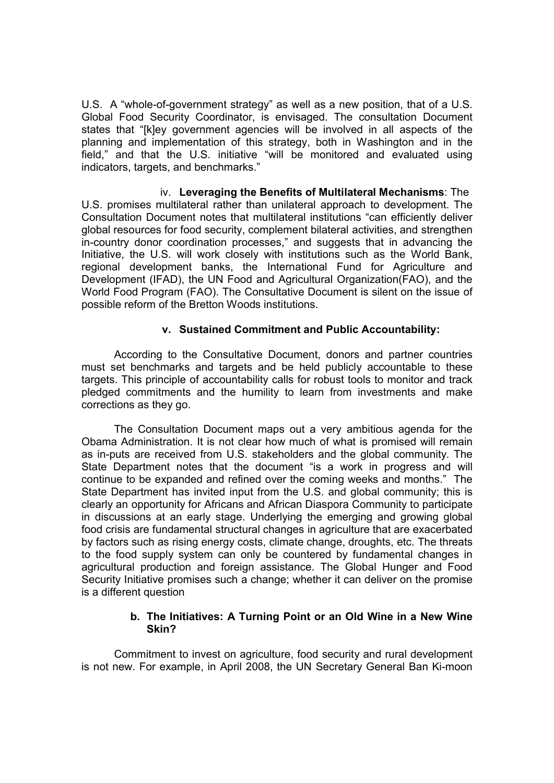U.S. A "whole-of-government strategy" as well as a new position, that of a U.S. Global Food Security Coordinator, is envisaged. The consultation Document states that "[k]ey government agencies will be involved in all aspects of the planning and implementation of this strategy, both in Washington and in the field," and that the U.S. initiative "will be monitored and evaluated using indicators, targets, and benchmarks."

iv. **Leveraging the Benefits of Multilateral Mechanisms**: The U.S. promises multilateral rather than unilateral approach to development. The Consultation Document notes that multilateral institutions "can efficiently deliver global resources for food security, complement bilateral activities, and strengthen in-country donor coordination processes," and suggests that in advancing the Initiative, the U.S. will work closely with institutions such as the World Bank, regional development banks, the International Fund for Agriculture and Development (IFAD), the UN Food and Agricultural Organization(FAO), and the World Food Program (FAO). The Consultative Document is silent on the issue of possible reform of the Bretton Woods institutions.

## **v. Sustained Commitment and Public Accountability:**

According to the Consultative Document, donors and partner countries must set benchmarks and targets and be held publicly accountable to these targets. This principle of accountability calls for robust tools to monitor and track pledged commitments and the humility to learn from investments and make corrections as they go.

The Consultation Document maps out a very ambitious agenda for the Obama Administration. It is not clear how much of what is promised will remain as in-puts are received from U.S. stakeholders and the global community. The State Department notes that the document "is a work in progress and will continue to be expanded and refined over the coming weeks and months." The State Department has invited input from the U.S. and global community; this is clearly an opportunity for Africans and African Diaspora Community to participate in discussions at an early stage. Underlying the emerging and growing global food crisis are fundamental structural changes in agriculture that are exacerbated by factors such as rising energy costs, climate change, droughts, etc. The threats to the food supply system can only be countered by fundamental changes in agricultural production and foreign assistance. The Global Hunger and Food Security Initiative promises such a change; whether it can deliver on the promise is a different question

#### **b. The Initiatives: A Turning Point or an Old Wine in a New Wine Skin?**

Commitment to invest on agriculture, food security and rural development is not new. For example, in April 2008, the UN Secretary General Ban Ki-moon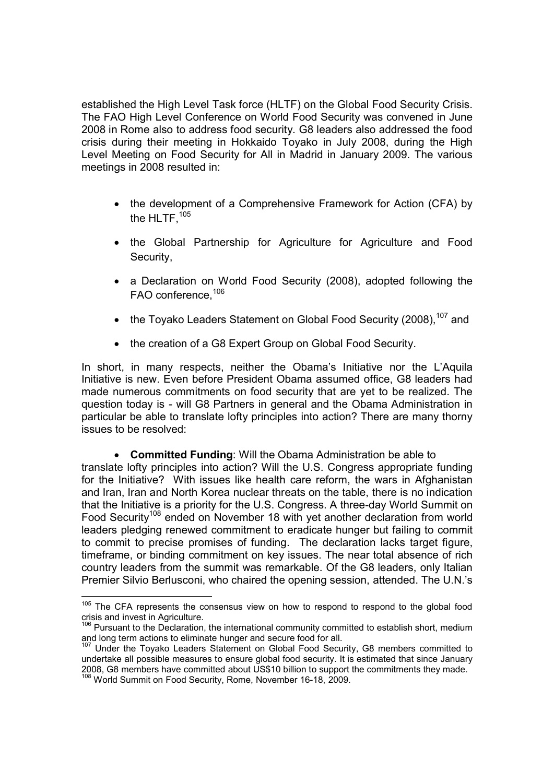established the High Level Task force (HLTF) on the Global Food Security Crisis. The FAO High Level Conference on World Food Security was convened in June 2008 in Rome also to address food security. G8 leaders also addressed the food crisis during their meeting in Hokkaido Toyako in July 2008, during the High Level Meeting on Food Security for All in Madrid in January 2009. The various meetings in 2008 resulted in:

- the development of a Comprehensive Framework for Action (CFA) by the HLTF.<sup>105</sup>
- the Global Partnership for Agriculture for Agriculture and Food Security,
- a Declaration on World Food Security (2008), adopted following the FAO conference.<sup>106</sup>
- the Toyako Leaders Statement on Global Food Security (2008).<sup>107</sup> and
- the creation of a G8 Expert Group on Global Food Security.

In short, in many respects, neither the Obama's Initiative nor the L'Aquila Initiative is new. Even before President Obama assumed office, G8 leaders had made numerous commitments on food security that are yet to be realized. The question today is - will G8 Partners in general and the Obama Administration in particular be able to translate lofty principles into action? There are many thorny issues to be resolved:

#### **Committed Funding**: Will the Obama Administration be able to

translate lofty principles into action? Will the U.S. Congress appropriate funding for the Initiative? With issues like health care reform, the wars in Afghanistan and Iran, Iran and North Korea nuclear threats on the table, there is no indication that the Initiative is a priority for the U.S. Congress. A three-day World Summit on Food Security<sup>108</sup> ended on November 18 with yet another declaration from world leaders pledging renewed commitment to eradicate hunger but failing to commit to commit to precise promises of funding. The declaration lacks target figure, timeframe, or binding commitment on key issues. The near total absence of rich country leaders from the summit was remarkable. Of the G8 leaders, only Italian Premier Silvio Berlusconi, who chaired the opening session, attended. The U.N.'s

<sup>&</sup>lt;sup>105</sup> The CFA represents the consensus view on how to respond to respond to the global food crisis and invest in Agriculture.

 $106$  Pursuant to the Declaration, the international community committed to establish short, medium and long term actions to eliminate hunger and secure food for all.

 $<sup>7</sup>$  Under the Toyako Leaders Statement on Global Food Security, G8 members committed to</sup> undertake all possible measures to ensure global food security. It is estimated that since January 2008, G8 members have committed about US\$10 billion to support the commitments they made. <sup>108</sup> World Summit on Food Security, Rome, November 16-18, 2009.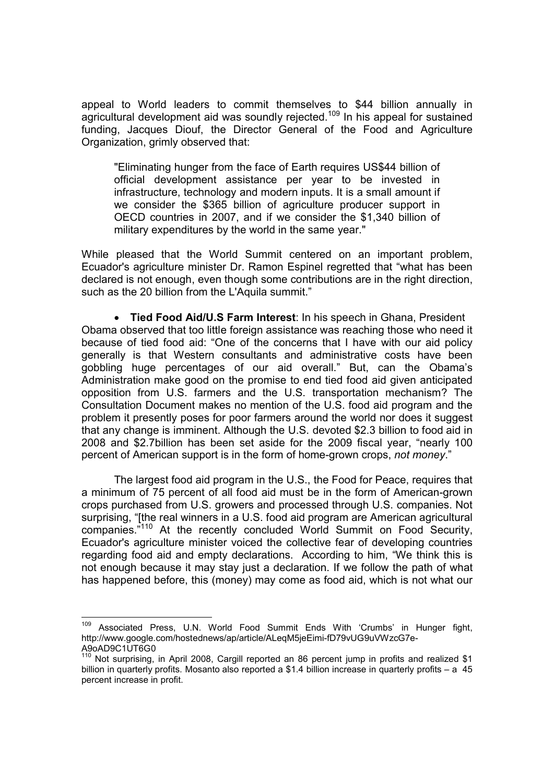appeal to World leaders to commit themselves to \$44 billion annually in agricultural development aid was soundly rejected.<sup>109</sup> In his appeal for sustained funding, Jacques Diouf, the Director General of the Food and Agriculture Organization, grimly observed that:

"Eliminating hunger from the face of Earth requires US\$44 billion of official development assistance per year to be invested in infrastructure, technology and modern inputs. It is a small amount if we consider the \$365 billion of agriculture producer support in OECD countries in 2007, and if we consider the \$1,340 billion of military expenditures by the world in the same year."

While pleased that the World Summit centered on an important problem, Ecuador's agriculture minister Dr. Ramon Espinel regretted that "what has been declared is not enough, even though some contributions are in the right direction, such as the 20 billion from the L'Aquila summit."

 **Tied Food Aid/U.S Farm Interest**: In his speech in Ghana, President Obama observed that too little foreign assistance was reaching those who need it because of tied food aid: "One of the concerns that I have with our aid policy generally is that Western consultants and administrative costs have been gobbling huge percentages of our aid overall." But, can the Obama's Administration make good on the promise to end tied food aid given anticipated opposition from U.S. farmers and the U.S. transportation mechanism? The Consultation Document makes no mention of the U.S. food aid program and the problem it presently poses for poor farmers around the world nor does it suggest that any change is imminent. Although the U.S. devoted \$2.3 billion to food aid in 2008 and \$2.7billion has been set aside for the 2009 fiscal year, "nearly 100 percent of American support is in the form of home-grown crops, *not money*."

The largest food aid program in the U.S., the Food for Peace, requires that a minimum of 75 percent of all food aid must be in the form of American-grown crops purchased from U.S. growers and processed through U.S. companies. Not surprising, "[the real winners in a U.S. food aid program are American agricultural companies."<sup>110</sup> At the recently concluded World Summit on Food Security, Ecuador's agriculture minister voiced the collective fear of developing countries regarding food aid and empty declarations. According to him, "We think this is not enough because it may stay just a declaration. If we follow the path of what has happened before, this (money) may come as food aid, which is not what our

<sup>109</sup> Associated Press, U.N. World Food Summit Ends With 'Crumbs' in Hunger fight, http://www.google.com/hostednews/ap/article/ALeqM5jeEimi-fD79vUG9uVWzcG7e-A9oAD9C1UT6G0

 $110$  Not surprising, in April 2008, Cargill reported an 86 percent jump in profits and realized \$1 billion in quarterly profits. Mosanto also reported a \$1.4 billion increase in quarterly profits – a 45 percent increase in profit.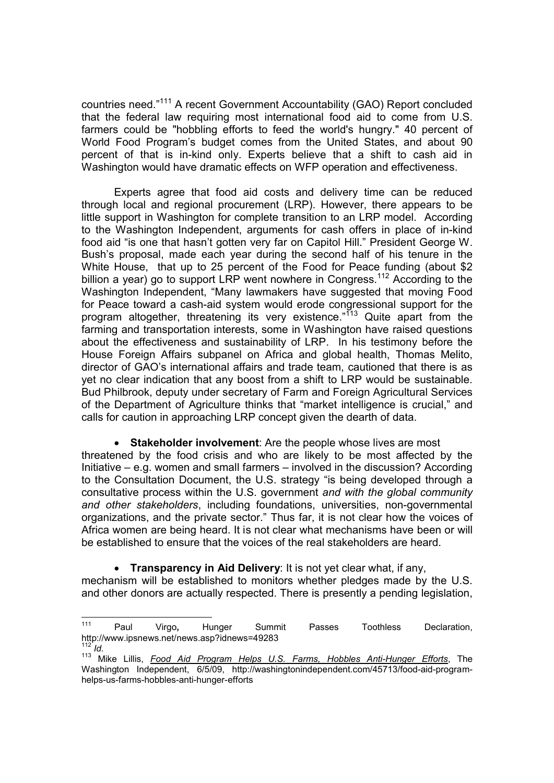countries need."<sup>111</sup> A recent Government Accountability (GAO) Report concluded that the federal law requiring most international food aid to come from U.S. farmers could be "hobbling efforts to feed the world's hungry." 40 percent of World Food Program's budget comes from the United States, and about 90 percent of that is in-kind only. Experts believe that a shift to cash aid in Washington would have dramatic effects on WFP operation and effectiveness.

Experts agree that food aid costs and delivery time can be reduced through local and regional procurement (LRP). However, there appears to be little support in Washington for complete transition to an LRP model. According to the Washington Independent, arguments for cash offers in place of in-kind food aid "is one that hasn't gotten very far on Capitol Hill." President George W. Bush's proposal, made each year during the second half of his tenure in the White House, that up to 25 percent of the Food for Peace funding (about \$2) billion a year) go to support LRP went nowhere in Congress.<sup>112</sup> According to the Washington Independent, "Many lawmakers have suggested that moving Food for Peace toward a cash-aid system would erode congressional support for the program altogether, threatening its very existence."<sup>113</sup> Quite apart from the farming and transportation interests, some in Washington have raised questions about the effectiveness and sustainability of LRP. In his testimony before the House Foreign Affairs subpanel on Africa and global health, Thomas Melito, director of GAO's international affairs and trade team, cautioned that there is as yet no clear indication that any boost from a shift to LRP would be sustainable. Bud Philbrook, deputy under secretary of Farm and Foreign Agricultural Services of the Department of Agriculture thinks that "market intelligence is crucial," and calls for caution in approaching LRP concept given the dearth of data.

 **Stakeholder involvement**: Are the people whose lives are most threatened by the food crisis and who are likely to be most affected by the Initiative – e.g. women and small farmers – involved in the discussion? According to the Consultation Document, the U.S. strategy "is being developed through a consultative process within the U.S. government *and with the global community and other stakeholders*, including foundations, universities, non-governmental organizations, and the private sector." Thus far, it is not clear how the voices of Africa women are being heard. It is not clear what mechanisms have been or will be established to ensure that the voices of the real stakeholders are heard.

**Transparency in Aid Delivery**: It is not yet clear what, if any,

mechanism will be established to monitors whether pledges made by the U.S. and other donors are actually respected. There is presently a pending legislation,

 $111$ <sup>111</sup> Paul Virgo**,** Hunger Summit Passes Toothless Declaration, http://www.ipsnews.net/news.asp?idnews=49283  $112$  *Id.* 

<sup>113</sup> Mike Lillis, *Food Aid Program Helps U.S. Farms, Hobbles Anti-Hunger Efforts*, The Washington Independent, 6/5/09, http://washingtonindependent.com/45713/food-aid-programhelps-us-farms-hobbles-anti-hunger-efforts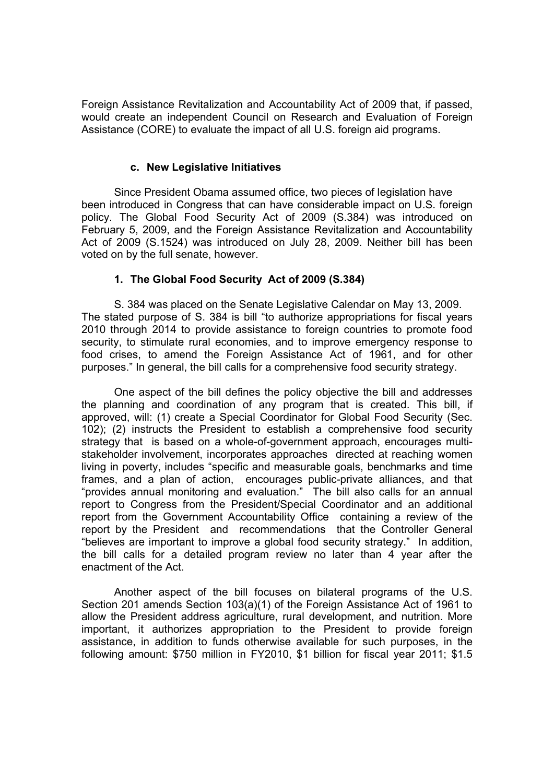Foreign Assistance Revitalization and Accountability Act of 2009 that, if passed, would create an independent Council on Research and Evaluation of Foreign Assistance (CORE) to evaluate the impact of all U.S. foreign aid programs.

#### **c. New Legislative Initiatives**

Since President Obama assumed office, two pieces of legislation have been introduced in Congress that can have considerable impact on U.S. foreign policy. The Global Food Security Act of 2009 (S.384) was introduced on February 5, 2009, and the Foreign Assistance Revitalization and Accountability Act of 2009 (S.1524) was introduced on July 28, 2009. Neither bill has been voted on by the full senate, however.

# **1. The Global Food Security Act of 2009 (S.384)**

S. 384 was placed on the Senate Legislative Calendar on May 13, 2009. The stated purpose of S. 384 is bill "to authorize appropriations for fiscal years 2010 through 2014 to provide assistance to foreign countries to promote food security, to stimulate rural economies, and to improve emergency response to food crises, to amend the Foreign Assistance Act of 1961, and for other purposes." In general, the bill calls for a comprehensive food security strategy.

One aspect of the bill defines the policy objective the bill and addresses the planning and coordination of any program that is created. This bill, if approved, will: (1) create a Special Coordinator for Global Food Security (Sec. 102); (2) instructs the President to establish a comprehensive food security strategy that is based on a whole-of-government approach, encourages multistakeholder involvement, incorporates approaches directed at reaching women living in poverty, includes "specific and measurable goals, benchmarks and time frames, and a plan of action, encourages public-private alliances, and that "provides annual monitoring and evaluation." The bill also calls for an annual report to Congress from the President/Special Coordinator and an additional report from the Government Accountability Office containing a review of the report by the President and recommendations that the Controller General "believes are important to improve a global food security strategy." In addition, the bill calls for a detailed program review no later than 4 year after the enactment of the Act.

Another aspect of the bill focuses on bilateral programs of the U.S. Section 201 amends Section 103(a)(1) of the Foreign Assistance Act of 1961 to allow the President address agriculture, rural development, and nutrition. More important, it authorizes appropriation to the President to provide foreign assistance, in addition to funds otherwise available for such purposes, in the following amount: \$750 million in FY2010, \$1 billion for fiscal year 2011; \$1.5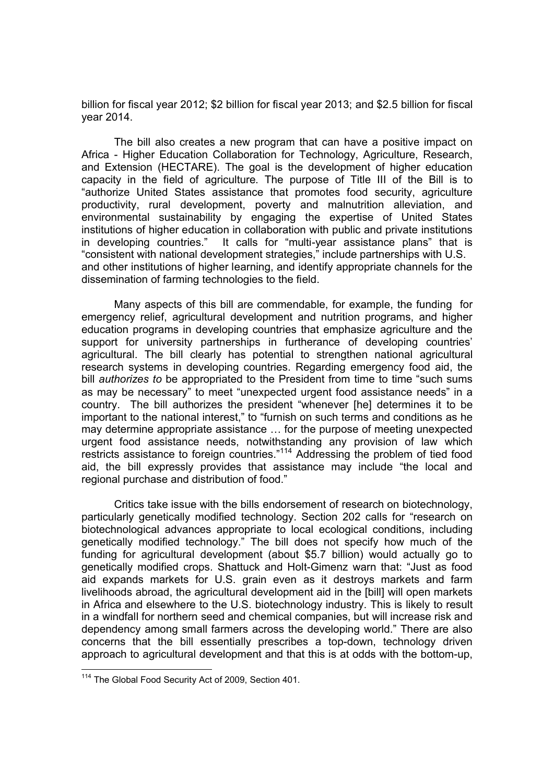billion for fiscal year 2012; \$2 billion for fiscal year 2013; and \$2.5 billion for fiscal year 2014.

The bill also creates a new program that can have a positive impact on Africa - Higher Education Collaboration for Technology, Agriculture, Research, and Extension (HECTARE). The goal is the development of higher education capacity in the field of agriculture. The purpose of Title III of the Bill is to "authorize United States assistance that promotes food security, agriculture productivity, rural development, poverty and malnutrition alleviation, and environmental sustainability by engaging the expertise of United States institutions of higher education in collaboration with public and private institutions in developing countries." It calls for "multi-year assistance plans" that is "consistent with national development strategies," include partnerships with U.S. and other institutions of higher learning, and identify appropriate channels for the dissemination of farming technologies to the field.

Many aspects of this bill are commendable, for example, the funding for emergency relief, agricultural development and nutrition programs, and higher education programs in developing countries that emphasize agriculture and the support for university partnerships in furtherance of developing countries' agricultural. The bill clearly has potential to strengthen national agricultural research systems in developing countries. Regarding emergency food aid, the bill *authorizes to* be appropriated to the President from time to time "such sums as may be necessary" to meet "unexpected urgent food assistance needs" in a country. The bill authorizes the president "whenever [he] determines it to be important to the national interest," to "furnish on such terms and conditions as he may determine appropriate assistance … for the purpose of meeting unexpected urgent food assistance needs, notwithstanding any provision of law which restricts assistance to foreign countries."<sup>114</sup> Addressing the problem of tied food aid, the bill expressly provides that assistance may include "the local and regional purchase and distribution of food."

Critics take issue with the bills endorsement of research on biotechnology, particularly genetically modified technology. Section 202 calls for "research on biotechnological advances appropriate to local ecological conditions, including genetically modified technology." The bill does not specify how much of the funding for agricultural development (about \$5.7 billion) would actually go to genetically modified crops. Shattuck and Holt-Gimenz warn that: "Just as food aid expands markets for U.S. grain even as it destroys markets and farm livelihoods abroad, the agricultural development aid in the [bill] will open markets in Africa and elsewhere to the U.S. biotechnology industry. This is likely to result in a windfall for northern seed and chemical companies, but will increase risk and dependency among small farmers across the developing world." There are also concerns that the bill essentially prescribes a top-down, technology driven approach to agricultural development and that this is at odds with the bottom-up,

<sup>&</sup>lt;sup>114</sup> The Global Food Security Act of 2009, Section 401.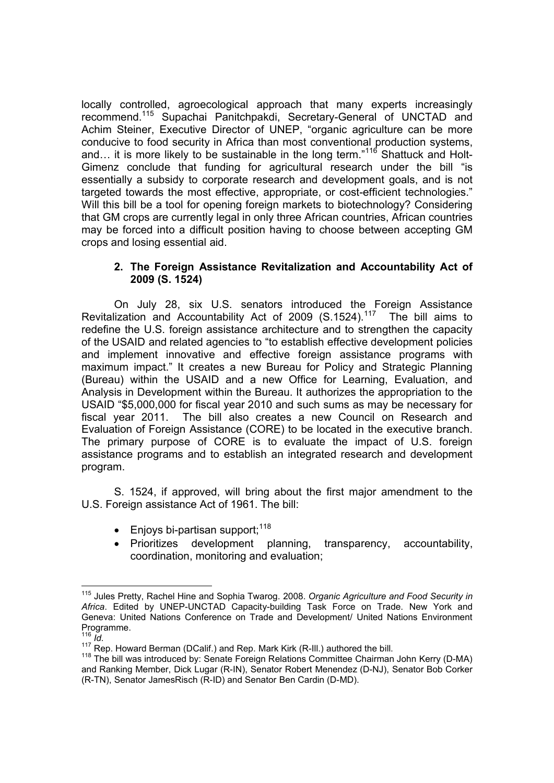locally controlled, agroecological approach that many experts increasingly recommend.<sup>115</sup> Supachai Panitchpakdi, Secretary-General of UNCTAD and Achim Steiner, Executive Director of UNEP, "organic agriculture can be more conducive to food security in Africa than most conventional production systems, and… it is more likely to be sustainable in the long term."<sup>116</sup> Shattuck and Holt-Gimenz conclude that funding for agricultural research under the bill "is essentially a subsidy to corporate research and development goals, and is not targeted towards the most effective, appropriate, or cost-efficient technologies." Will this bill be a tool for opening foreign markets to biotechnology? Considering that GM crops are currently legal in only three African countries, African countries may be forced into a difficult position having to choose between accepting GM crops and losing essential aid.

## **2. The Foreign Assistance Revitalization and Accountability Act of 2009 (S. 1524)**

On July 28, six U.S. senators introduced the Foreign Assistance Revitalization and Accountability Act of 2009 (S.1524).<sup>117</sup> The bill aims to redefine the U.S. foreign assistance architecture and to strengthen the capacity of the USAID and related agencies to "to establish effective development policies and implement innovative and effective foreign assistance programs with maximum impact." It creates a new Bureau for Policy and Strategic Planning (Bureau) within the USAID and a new Office for Learning, Evaluation, and Analysis in Development within the Bureau. It authorizes the appropriation to the USAID "\$5,000,000 for fiscal year 2010 and such sums as may be necessary for fiscal year 2011. The bill also creates a new Council on Research and Evaluation of Foreign Assistance (CORE) to be located in the executive branch. The primary purpose of CORE is to evaluate the impact of U.S. foreign assistance programs and to establish an integrated research and development program.

S. 1524, if approved, will bring about the first major amendment to the U.S. Foreign assistance Act of 1961. The bill:

- $\bullet$  Enjoys bi-partisan support;<sup>118</sup>
- Prioritizes development planning, transparency, accountability, coordination, monitoring and evaluation;

<sup>-</sup><sup>115</sup> Jules Pretty, Rachel Hine and Sophia Twarog. 2008. *Organic Agriculture and Food Security in Africa*. Edited by UNEP-UNCTAD Capacity-building Task Force on Trade. New York and Geneva: United Nations Conference on Trade and Development/ United Nations Environment Programme.

<sup>116</sup> *Id.*

<sup>117</sup> Rep. Howard Berman (DCalif.) and Rep. Mark Kirk (R-III.) authored the bill.<br><sup>118</sup> The bill was introduced by: Senate Foreign Relations Committee Chairman John Kerry (D-MA) and Ranking Member, Dick Lugar (R-IN), Senator Robert Menendez (D-NJ), Senator Bob Corker (R-TN), Senator JamesRisch (R-ID) and Senator Ben Cardin (D-MD).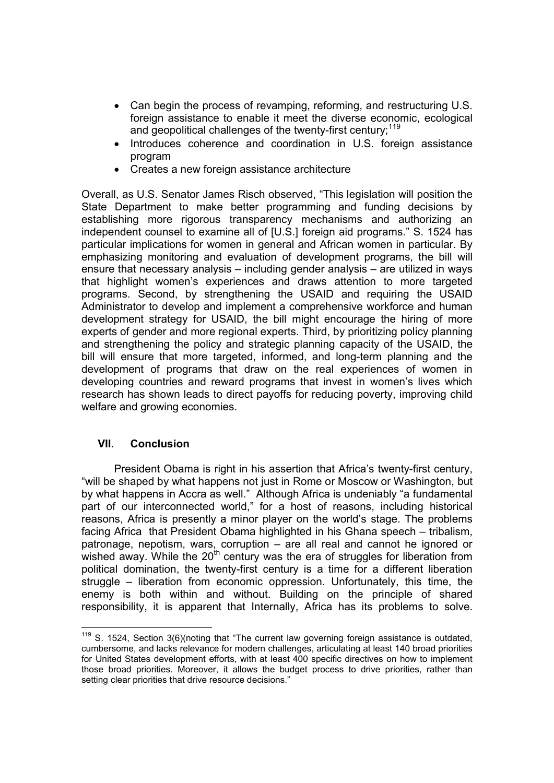- Can begin the process of revamping, reforming, and restructuring U.S. foreign assistance to enable it meet the diverse economic, ecological and geopolitical challenges of the twenty-first century;  $119$
- Introduces coherence and coordination in U.S. foreign assistance program
- Creates a new foreign assistance architecture

Overall, as U.S. Senator James Risch observed, "This legislation will position the State Department to make better programming and funding decisions by establishing more rigorous transparency mechanisms and authorizing an independent counsel to examine all of [U.S.] foreign aid programs." S. 1524 has particular implications for women in general and African women in particular. By emphasizing monitoring and evaluation of development programs, the bill will ensure that necessary analysis – including gender analysis – are utilized in ways that highlight women's experiences and draws attention to more targeted programs. Second, by strengthening the USAID and requiring the USAID Administrator to develop and implement a comprehensive workforce and human development strategy for USAID, the bill might encourage the hiring of more experts of gender and more regional experts. Third, by prioritizing policy planning and strengthening the policy and strategic planning capacity of the USAID, the bill will ensure that more targeted, informed, and long-term planning and the development of programs that draw on the real experiences of women in developing countries and reward programs that invest in women's lives which research has shown leads to direct payoffs for reducing poverty, improving child welfare and growing economies.

# **VII. Conclusion**

 $\overline{a}$ 

President Obama is right in his assertion that Africa's twenty-first century, "will be shaped by what happens not just in Rome or Moscow or Washington, but by what happens in Accra as well." Although Africa is undeniably "a fundamental part of our interconnected world," for a host of reasons, including historical reasons, Africa is presently a minor player on the world's stage. The problems facing Africa that President Obama highlighted in his Ghana speech – tribalism, patronage, nepotism, wars, corruption – are all real and cannot he ignored or wished away. While the  $20<sup>th</sup>$  century was the era of struggles for liberation from political domination, the twenty-first century is a time for a different liberation struggle – liberation from economic oppression. Unfortunately, this time, the enemy is both within and without. Building on the principle of shared responsibility, it is apparent that Internally, Africa has its problems to solve.

 $119$  S. 1524, Section 3(6)(noting that "The current law governing foreign assistance is outdated, cumbersome, and lacks relevance for modern challenges, articulating at least 140 broad priorities for United States development efforts, with at least 400 specific directives on how to implement those broad priorities. Moreover, it allows the budget process to drive priorities, rather than setting clear priorities that drive resource decisions."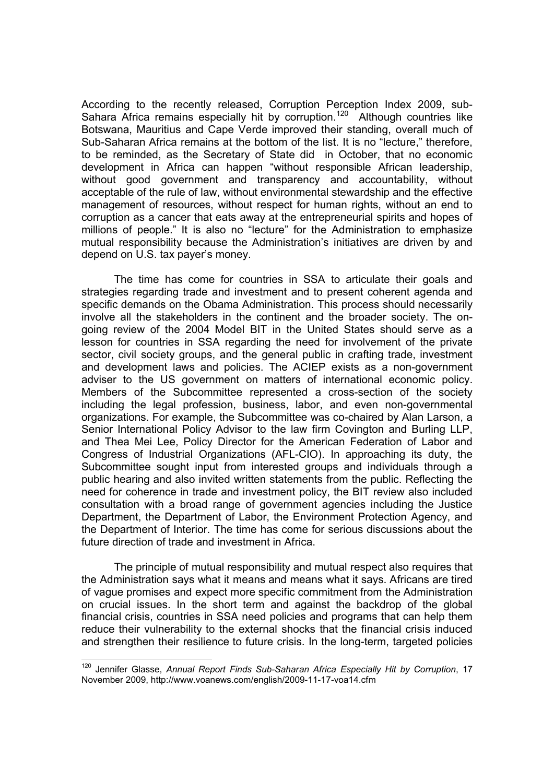According to the recently released, Corruption Perception Index 2009, sub-Sahara Africa remains especially hit by corruption.<sup>120</sup> Although countries like Botswana, Mauritius and Cape Verde improved their standing, overall much of Sub-Saharan Africa remains at the bottom of the list. It is no "lecture," therefore, to be reminded, as the Secretary of State did in October, that no economic development in Africa can happen "without responsible African leadership, without good government and transparency and accountability, without acceptable of the rule of law, without environmental stewardship and the effective management of resources, without respect for human rights, without an end to corruption as a cancer that eats away at the entrepreneurial spirits and hopes of millions of people." It is also no "lecture" for the Administration to emphasize mutual responsibility because the Administration's initiatives are driven by and depend on U.S. tax payer's money.

The time has come for countries in SSA to articulate their goals and strategies regarding trade and investment and to present coherent agenda and specific demands on the Obama Administration. This process should necessarily involve all the stakeholders in the continent and the broader society. The ongoing review of the 2004 Model BIT in the United States should serve as a lesson for countries in SSA regarding the need for involvement of the private sector, civil society groups, and the general public in crafting trade, investment and development laws and policies. The ACIEP exists as a non-government adviser to the US government on matters of international economic policy. Members of the Subcommittee represented a cross-section of the society including the legal profession, business, labor, and even non-governmental organizations. For example, the Subcommittee was co-chaired by Alan Larson, a Senior International Policy Advisor to the law firm Covington and Burling LLP, and Thea Mei Lee, Policy Director for the American Federation of Labor and Congress of Industrial Organizations (AFL-CIO). In approaching its duty, the Subcommittee sought input from interested groups and individuals through a public hearing and also invited written statements from the public. Reflecting the need for coherence in trade and investment policy, the BIT review also included consultation with a broad range of government agencies including the Justice Department, the Department of Labor, the Environment Protection Agency, and the Department of Interior. The time has come for serious discussions about the future direction of trade and investment in Africa.

The principle of mutual responsibility and mutual respect also requires that the Administration says what it means and means what it says. Africans are tired of vague promises and expect more specific commitment from the Administration on crucial issues. In the short term and against the backdrop of the global financial crisis, countries in SSA need policies and programs that can help them reduce their vulnerability to the external shocks that the financial crisis induced and strengthen their resilience to future crisis. In the long-term, targeted policies

<sup>120</sup> Jennifer Glasse, *Annual Report Finds Sub-Saharan Africa Especially Hit by Corruption*, 17 November 2009, http://www.voanews.com/english/2009-11-17-voa14.cfm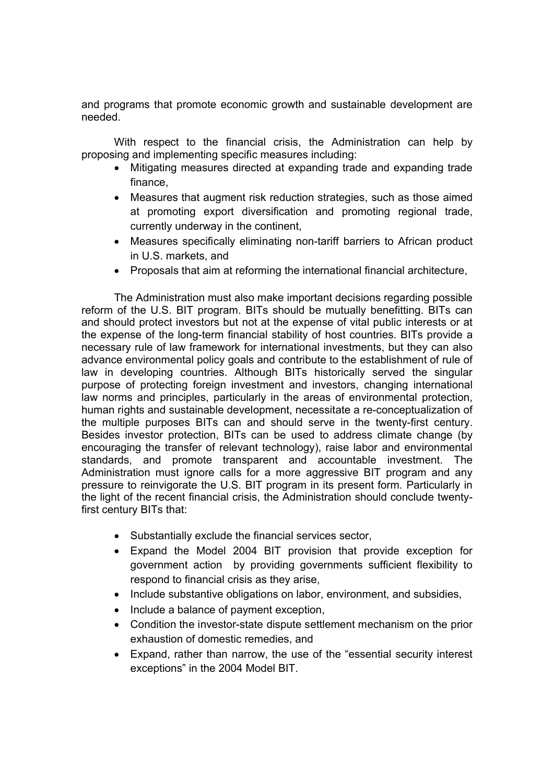and programs that promote economic growth and sustainable development are needed.

With respect to the financial crisis, the Administration can help by proposing and implementing specific measures including:

- Mitigating measures directed at expanding trade and expanding trade finance,
- Measures that augment risk reduction strategies, such as those aimed at promoting export diversification and promoting regional trade, currently underway in the continent,
- Measures specifically eliminating non-tariff barriers to African product in U.S. markets, and
- Proposals that aim at reforming the international financial architecture,

The Administration must also make important decisions regarding possible reform of the U.S. BIT program. BITs should be mutually benefitting. BITs can and should protect investors but not at the expense of vital public interests or at the expense of the long-term financial stability of host countries. BITs provide a necessary rule of law framework for international investments, but they can also advance environmental policy goals and contribute to the establishment of rule of law in developing countries. Although BITs historically served the singular purpose of protecting foreign investment and investors, changing international law norms and principles, particularly in the areas of environmental protection, human rights and sustainable development, necessitate a re-conceptualization of the multiple purposes BITs can and should serve in the twenty-first century. Besides investor protection, BITs can be used to address climate change (by encouraging the transfer of relevant technology), raise labor and environmental standards, and promote transparent and accountable investment. The Administration must ignore calls for a more aggressive BIT program and any pressure to reinvigorate the U.S. BIT program in its present form. Particularly in the light of the recent financial crisis, the Administration should conclude twentyfirst century BITs that:

- Substantially exclude the financial services sector,
- Expand the Model 2004 BIT provision that provide exception for government action by providing governments sufficient flexibility to respond to financial crisis as they arise,
- Include substantive obligations on labor, environment, and subsidies,
- Include a balance of payment exception,
- Condition the investor-state dispute settlement mechanism on the prior exhaustion of domestic remedies, and
- Expand, rather than narrow, the use of the "essential security interest exceptions" in the 2004 Model BIT.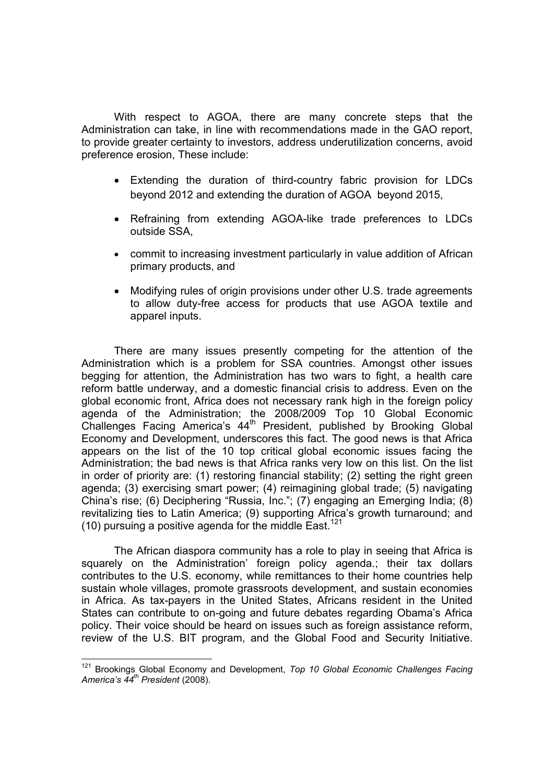With respect to AGOA, there are many concrete steps that the Administration can take, in line with recommendations made in the GAO report, to provide greater certainty to investors, address underutilization concerns, avoid preference erosion, These include:

- Extending the duration of third-country fabric provision for LDCs beyond 2012 and extending the duration of AGOA beyond 2015,
- Refraining from extending AGOA-like trade preferences to LDCs outside SSA,
- commit to increasing investment particularly in value addition of African primary products, and
- Modifying rules of origin provisions under other U.S. trade agreements to allow duty-free access for products that use AGOA textile and apparel inputs.

There are many issues presently competing for the attention of the Administration which is a problem for SSA countries. Amongst other issues begging for attention, the Administration has two wars to fight, a health care reform battle underway, and a domestic financial crisis to address. Even on the global economic front, Africa does not necessary rank high in the foreign policy agenda of the Administration; the 2008/2009 Top 10 Global Economic Challenges Facing America's  $44<sup>th</sup>$  President, published by Brooking Global Economy and Development, underscores this fact. The good news is that Africa appears on the list of the 10 top critical global economic issues facing the Administration; the bad news is that Africa ranks very low on this list. On the list in order of priority are: (1) restoring financial stability; (2) setting the right green agenda; (3) exercising smart power; (4) reimagining global trade; (5) navigating China's rise; (6) Deciphering "Russia, Inc."; (7) engaging an Emerging India; (8) revitalizing ties to Latin America; (9) supporting Africa's growth turnaround; and (10) pursuing a positive agenda for the middle East.<sup>121</sup>

The African diaspora community has a role to play in seeing that Africa is squarely on the Administration' foreign policy agenda.; their tax dollars contributes to the U.S. economy, while remittances to their home countries help sustain whole villages, promote grassroots development, and sustain economies in Africa. As tax-payers in the United States, Africans resident in the United States can contribute to on-going and future debates regarding Obama's Africa policy. Their voice should be heard on issues such as foreign assistance reform, review of the U.S. BIT program, and the Global Food and Security Initiative.

 $121$ <sup>121</sup> Brookings Global Economy and Development, *Top 10 Global Economic Challenges Facing America's 44th President* (2008).